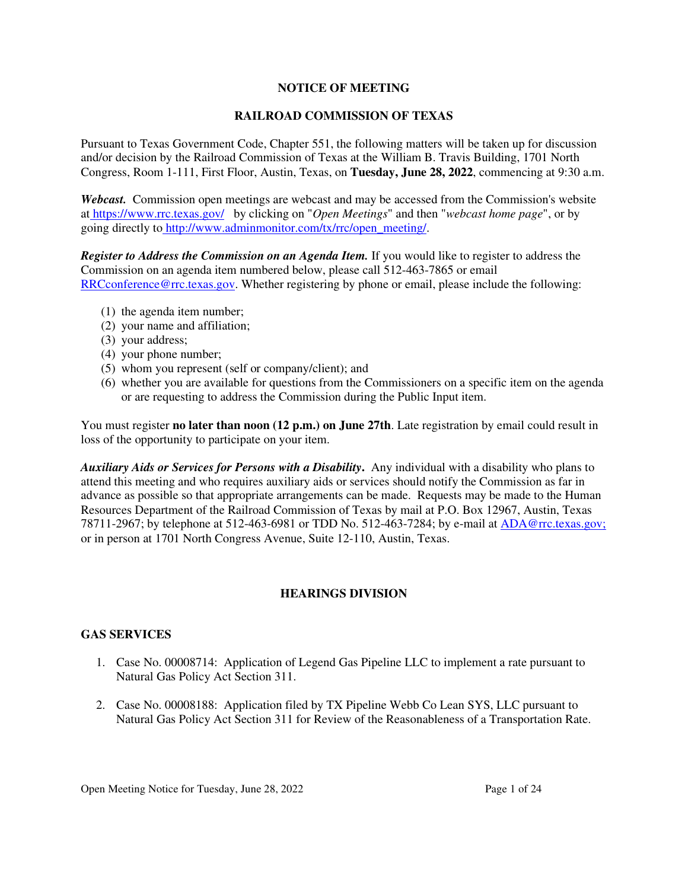### **NOTICE OF MEETING**

### **RAILROAD COMMISSION OF TEXAS**

Pursuant to Texas Government Code, Chapter 551, the following matters will be taken up for discussion and/or decision by the Railroad Commission of Texas at the William B. Travis Building, 1701 North Congress, Room 1-111, First Floor, Austin, Texas, on **Tuesday, June 28, 2022**, commencing at 9:30 a.m.

*Webcast.* Commission open meetings are webcast and may be accessed from the Commission's website at https://www.rrc.texas.gov/ by clicking on "*Open Meetings*" and then "*webcast home page*", or by going directly to http://www.adminmonitor.com/tx/rrc/open\_meeting/.

*Register to Address the Commission on an Agenda Item.* If you would like to register to address the Commission on an agenda item numbered below, please call 512-463-7865 or email RRCconference@rrc.texas.gov. Whether registering by phone or email, please include the following:

- (1) the agenda item number;
- (2) your name and affiliation;
- (3) your address;
- (4) your phone number;
- (5) whom you represent (self or company/client); and
- (6) whether you are available for questions from the Commissioners on a specific item on the agenda or are requesting to address the Commission during the Public Input item.

You must register **no later than noon (12 p.m.) on June 27th**. Late registration by email could result in loss of the opportunity to participate on your item.

*Auxiliary Aids or Services for Persons with a Disability***.** Any individual with a disability who plans to attend this meeting and who requires auxiliary aids or services should notify the Commission as far in advance as possible so that appropriate arrangements can be made. Requests may be made to the Human Resources Department of the Railroad Commission of Texas by mail at P.O. Box 12967, Austin, Texas 78711-2967; by telephone at 512-463-6981 or TDD No. 512-463-7284; by e-mail at ADA@rrc.texas.gov; or in person at 1701 North Congress Avenue, Suite 12-110, Austin, Texas.

# **HEARINGS DIVISION**

# **GAS SERVICES**

- 1. Case No. 00008714: Application of Legend Gas Pipeline LLC to implement a rate pursuant to Natural Gas Policy Act Section 311.
- 2. Case No. 00008188: Application filed by TX Pipeline Webb Co Lean SYS, LLC pursuant to Natural Gas Policy Act Section 311 for Review of the Reasonableness of a Transportation Rate.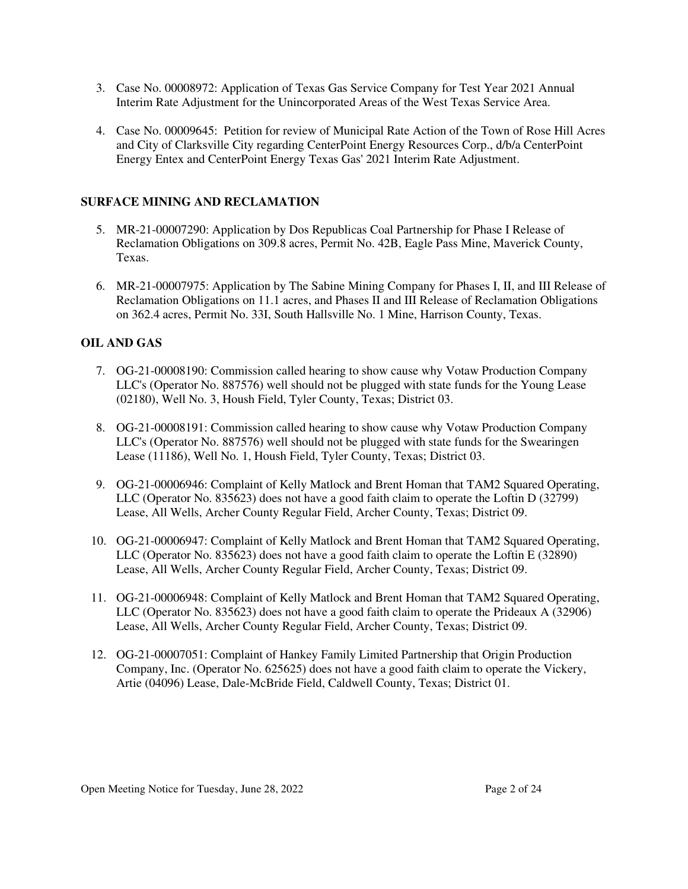- 3. Case No. 00008972: Application of Texas Gas Service Company for Test Year 2021 Annual Interim Rate Adjustment for the Unincorporated Areas of the West Texas Service Area.
- 4. Case No. 00009645: Petition for review of Municipal Rate Action of the Town of Rose Hill Acres and City of Clarksville City regarding CenterPoint Energy Resources Corp., d/b/a CenterPoint Energy Entex and CenterPoint Energy Texas Gas' 2021 Interim Rate Adjustment.

### **SURFACE MINING AND RECLAMATION**

- 5. MR-21-00007290: Application by Dos Republicas Coal Partnership for Phase I Release of Reclamation Obligations on 309.8 acres, Permit No. 42B, Eagle Pass Mine, Maverick County, Texas.
- 6. MR-21-00007975: Application by The Sabine Mining Company for Phases I, II, and III Release of Reclamation Obligations on 11.1 acres, and Phases II and III Release of Reclamation Obligations on 362.4 acres, Permit No. 33I, South Hallsville No. 1 Mine, Harrison County, Texas.

# **OIL AND GAS**

- 7. OG-21-00008190: Commission called hearing to show cause why Votaw Production Company LLC's (Operator No. 887576) well should not be plugged with state funds for the Young Lease (02180), Well No. 3, Housh Field, Tyler County, Texas; District 03.
- 8. OG-21-00008191: Commission called hearing to show cause why Votaw Production Company LLC's (Operator No. 887576) well should not be plugged with state funds for the Swearingen Lease (11186), Well No. 1, Housh Field, Tyler County, Texas; District 03.
- 9. OG-21-00006946: Complaint of Kelly Matlock and Brent Homan that TAM2 Squared Operating, LLC (Operator No. 835623) does not have a good faith claim to operate the Loftin D (32799) Lease, All Wells, Archer County Regular Field, Archer County, Texas; District 09.
- 10. OG-21-00006947: Complaint of Kelly Matlock and Brent Homan that TAM2 Squared Operating, LLC (Operator No. 835623) does not have a good faith claim to operate the Loftin E (32890) Lease, All Wells, Archer County Regular Field, Archer County, Texas; District 09.
- 11. OG-21-00006948: Complaint of Kelly Matlock and Brent Homan that TAM2 Squared Operating, LLC (Operator No. 835623) does not have a good faith claim to operate the Prideaux A (32906) Lease, All Wells, Archer County Regular Field, Archer County, Texas; District 09.
- 12. OG-21-00007051: Complaint of Hankey Family Limited Partnership that Origin Production Company, Inc. (Operator No. 625625) does not have a good faith claim to operate the Vickery, Artie (04096) Lease, Dale-McBride Field, Caldwell County, Texas; District 01.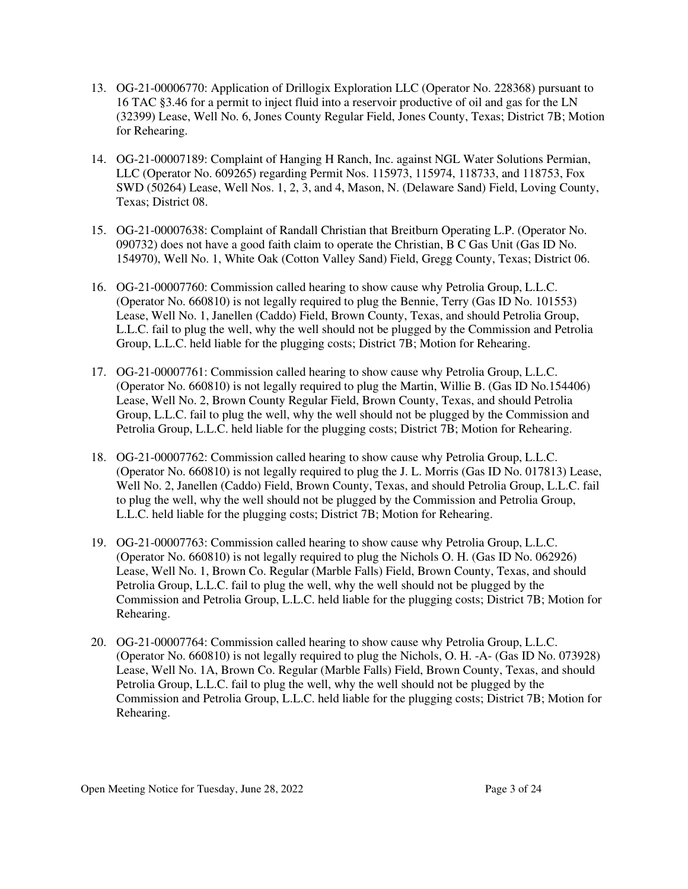- 13. OG-21-00006770: Application of Drillogix Exploration LLC (Operator No. 228368) pursuant to 16 TAC §3.46 for a permit to inject fluid into a reservoir productive of oil and gas for the LN (32399) Lease, Well No. 6, Jones County Regular Field, Jones County, Texas; District 7B; Motion for Rehearing.
- 14. OG-21-00007189: Complaint of Hanging H Ranch, Inc. against NGL Water Solutions Permian, LLC (Operator No. 609265) regarding Permit Nos. 115973, 115974, 118733, and 118753, Fox SWD (50264) Lease, Well Nos. 1, 2, 3, and 4, Mason, N. (Delaware Sand) Field, Loving County, Texas; District 08.
- 15. OG-21-00007638: Complaint of Randall Christian that Breitburn Operating L.P. (Operator No. 090732) does not have a good faith claim to operate the Christian, B C Gas Unit (Gas ID No. 154970), Well No. 1, White Oak (Cotton Valley Sand) Field, Gregg County, Texas; District 06.
- 16. OG-21-00007760: Commission called hearing to show cause why Petrolia Group, L.L.C. (Operator No. 660810) is not legally required to plug the Bennie, Terry (Gas ID No. 101553) Lease, Well No. 1, Janellen (Caddo) Field, Brown County, Texas, and should Petrolia Group, L.L.C. fail to plug the well, why the well should not be plugged by the Commission and Petrolia Group, L.L.C. held liable for the plugging costs; District 7B; Motion for Rehearing.
- 17. OG-21-00007761: Commission called hearing to show cause why Petrolia Group, L.L.C. (Operator No. 660810) is not legally required to plug the Martin, Willie B. (Gas ID No.154406) Lease, Well No. 2, Brown County Regular Field, Brown County, Texas, and should Petrolia Group, L.L.C. fail to plug the well, why the well should not be plugged by the Commission and Petrolia Group, L.L.C. held liable for the plugging costs; District 7B; Motion for Rehearing.
- 18. OG-21-00007762: Commission called hearing to show cause why Petrolia Group, L.L.C. (Operator No. 660810) is not legally required to plug the J. L. Morris (Gas ID No. 017813) Lease, Well No. 2, Janellen (Caddo) Field, Brown County, Texas, and should Petrolia Group, L.L.C. fail to plug the well, why the well should not be plugged by the Commission and Petrolia Group, L.L.C. held liable for the plugging costs; District 7B; Motion for Rehearing.
- 19. OG-21-00007763: Commission called hearing to show cause why Petrolia Group, L.L.C. (Operator No. 660810) is not legally required to plug the Nichols O. H. (Gas ID No. 062926) Lease, Well No. 1, Brown Co. Regular (Marble Falls) Field, Brown County, Texas, and should Petrolia Group, L.L.C. fail to plug the well, why the well should not be plugged by the Commission and Petrolia Group, L.L.C. held liable for the plugging costs; District 7B; Motion for Rehearing.
- 20. OG-21-00007764: Commission called hearing to show cause why Petrolia Group, L.L.C. (Operator No. 660810) is not legally required to plug the Nichols, O. H. -A- (Gas ID No. 073928) Lease, Well No. 1A, Brown Co. Regular (Marble Falls) Field, Brown County, Texas, and should Petrolia Group, L.L.C. fail to plug the well, why the well should not be plugged by the Commission and Petrolia Group, L.L.C. held liable for the plugging costs; District 7B; Motion for Rehearing.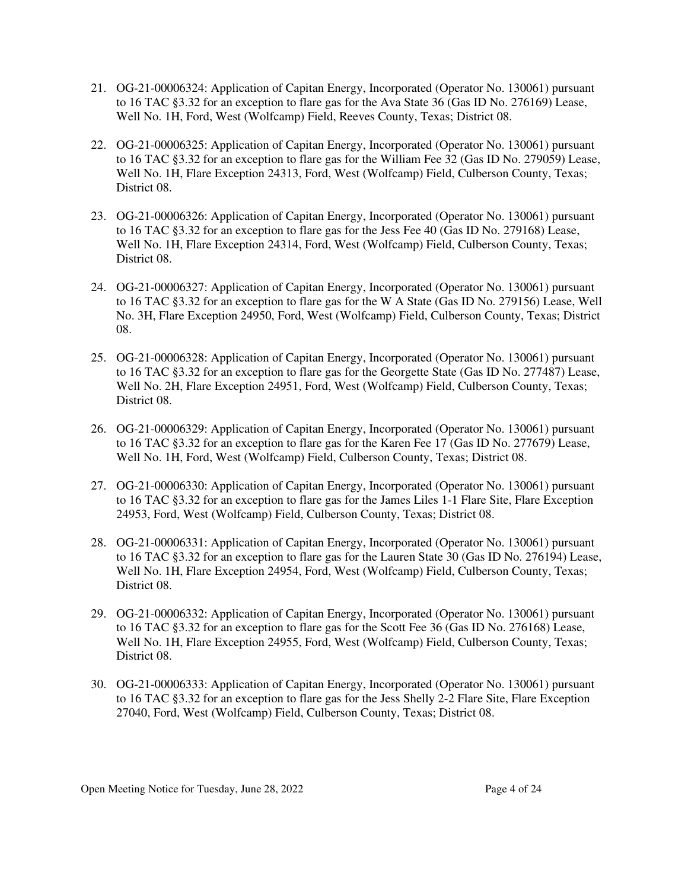- 21. OG-21-00006324: Application of Capitan Energy, Incorporated (Operator No. 130061) pursuant to 16 TAC §3.32 for an exception to flare gas for the Ava State 36 (Gas ID No. 276169) Lease, Well No. 1H, Ford, West (Wolfcamp) Field, Reeves County, Texas; District 08.
- 22. OG-21-00006325: Application of Capitan Energy, Incorporated (Operator No. 130061) pursuant to 16 TAC §3.32 for an exception to flare gas for the William Fee 32 (Gas ID No. 279059) Lease, Well No. 1H, Flare Exception 24313, Ford, West (Wolfcamp) Field, Culberson County, Texas; District 08.
- 23. OG-21-00006326: Application of Capitan Energy, Incorporated (Operator No. 130061) pursuant to 16 TAC §3.32 for an exception to flare gas for the Jess Fee 40 (Gas ID No. 279168) Lease, Well No. 1H, Flare Exception 24314, Ford, West (Wolfcamp) Field, Culberson County, Texas; District 08.
- 24. OG-21-00006327: Application of Capitan Energy, Incorporated (Operator No. 130061) pursuant to 16 TAC §3.32 for an exception to flare gas for the W A State (Gas ID No. 279156) Lease, Well No. 3H, Flare Exception 24950, Ford, West (Wolfcamp) Field, Culberson County, Texas; District 08.
- 25. OG-21-00006328: Application of Capitan Energy, Incorporated (Operator No. 130061) pursuant to 16 TAC §3.32 for an exception to flare gas for the Georgette State (Gas ID No. 277487) Lease, Well No. 2H, Flare Exception 24951, Ford, West (Wolfcamp) Field, Culberson County, Texas; District 08.
- 26. OG-21-00006329: Application of Capitan Energy, Incorporated (Operator No. 130061) pursuant to 16 TAC §3.32 for an exception to flare gas for the Karen Fee 17 (Gas ID No. 277679) Lease, Well No. 1H, Ford, West (Wolfcamp) Field, Culberson County, Texas; District 08.
- 27. OG-21-00006330: Application of Capitan Energy, Incorporated (Operator No. 130061) pursuant to 16 TAC §3.32 for an exception to flare gas for the James Liles 1-1 Flare Site, Flare Exception 24953, Ford, West (Wolfcamp) Field, Culberson County, Texas; District 08.
- 28. OG-21-00006331: Application of Capitan Energy, Incorporated (Operator No. 130061) pursuant to 16 TAC §3.32 for an exception to flare gas for the Lauren State 30 (Gas ID No. 276194) Lease, Well No. 1H, Flare Exception 24954, Ford, West (Wolfcamp) Field, Culberson County, Texas; District 08.
- 29. OG-21-00006332: Application of Capitan Energy, Incorporated (Operator No. 130061) pursuant to 16 TAC §3.32 for an exception to flare gas for the Scott Fee 36 (Gas ID No. 276168) Lease, Well No. 1H, Flare Exception 24955, Ford, West (Wolfcamp) Field, Culberson County, Texas; District 08.
- 30. OG-21-00006333: Application of Capitan Energy, Incorporated (Operator No. 130061) pursuant to 16 TAC §3.32 for an exception to flare gas for the Jess Shelly 2-2 Flare Site, Flare Exception 27040, Ford, West (Wolfcamp) Field, Culberson County, Texas; District 08.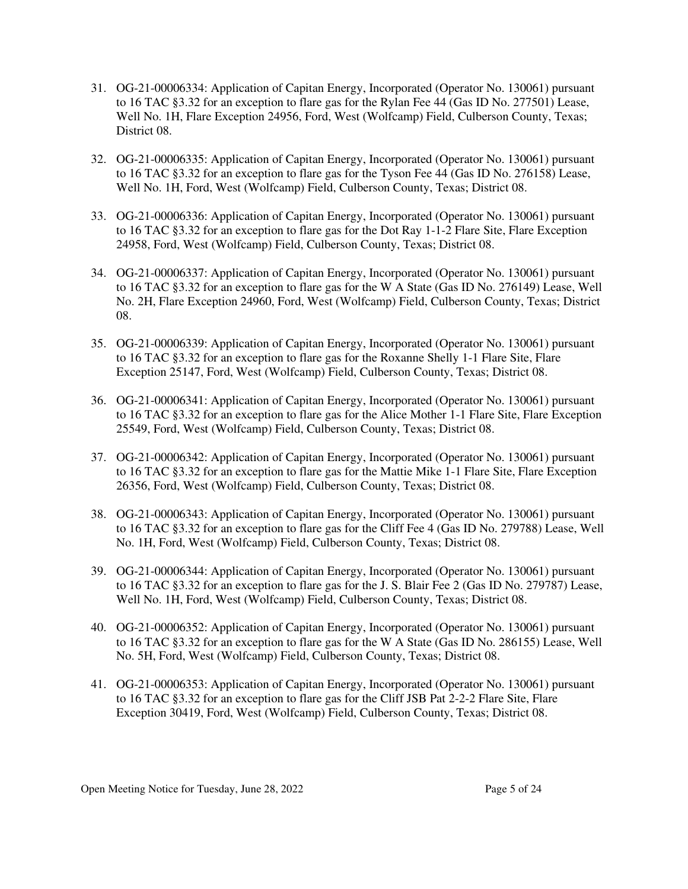- 31. OG-21-00006334: Application of Capitan Energy, Incorporated (Operator No. 130061) pursuant to 16 TAC §3.32 for an exception to flare gas for the Rylan Fee 44 (Gas ID No. 277501) Lease, Well No. 1H, Flare Exception 24956, Ford, West (Wolfcamp) Field, Culberson County, Texas; District 08.
- 32. OG-21-00006335: Application of Capitan Energy, Incorporated (Operator No. 130061) pursuant to 16 TAC §3.32 for an exception to flare gas for the Tyson Fee 44 (Gas ID No. 276158) Lease, Well No. 1H, Ford, West (Wolfcamp) Field, Culberson County, Texas; District 08.
- 33. OG-21-00006336: Application of Capitan Energy, Incorporated (Operator No. 130061) pursuant to 16 TAC §3.32 for an exception to flare gas for the Dot Ray 1-1-2 Flare Site, Flare Exception 24958, Ford, West (Wolfcamp) Field, Culberson County, Texas; District 08.
- 34. OG-21-00006337: Application of Capitan Energy, Incorporated (Operator No. 130061) pursuant to 16 TAC §3.32 for an exception to flare gas for the W A State (Gas ID No. 276149) Lease, Well No. 2H, Flare Exception 24960, Ford, West (Wolfcamp) Field, Culberson County, Texas; District 08.
- 35. OG-21-00006339: Application of Capitan Energy, Incorporated (Operator No. 130061) pursuant to 16 TAC §3.32 for an exception to flare gas for the Roxanne Shelly 1-1 Flare Site, Flare Exception 25147, Ford, West (Wolfcamp) Field, Culberson County, Texas; District 08.
- 36. OG-21-00006341: Application of Capitan Energy, Incorporated (Operator No. 130061) pursuant to 16 TAC §3.32 for an exception to flare gas for the Alice Mother 1-1 Flare Site, Flare Exception 25549, Ford, West (Wolfcamp) Field, Culberson County, Texas; District 08.
- 37. OG-21-00006342: Application of Capitan Energy, Incorporated (Operator No. 130061) pursuant to 16 TAC §3.32 for an exception to flare gas for the Mattie Mike 1-1 Flare Site, Flare Exception 26356, Ford, West (Wolfcamp) Field, Culberson County, Texas; District 08.
- 38. OG-21-00006343: Application of Capitan Energy, Incorporated (Operator No. 130061) pursuant to 16 TAC §3.32 for an exception to flare gas for the Cliff Fee 4 (Gas ID No. 279788) Lease, Well No. 1H, Ford, West (Wolfcamp) Field, Culberson County, Texas; District 08.
- 39. OG-21-00006344: Application of Capitan Energy, Incorporated (Operator No. 130061) pursuant to 16 TAC §3.32 for an exception to flare gas for the J. S. Blair Fee 2 (Gas ID No. 279787) Lease, Well No. 1H, Ford, West (Wolfcamp) Field, Culberson County, Texas; District 08.
- 40. OG-21-00006352: Application of Capitan Energy, Incorporated (Operator No. 130061) pursuant to 16 TAC §3.32 for an exception to flare gas for the W A State (Gas ID No. 286155) Lease, Well No. 5H, Ford, West (Wolfcamp) Field, Culberson County, Texas; District 08.
- 41. OG-21-00006353: Application of Capitan Energy, Incorporated (Operator No. 130061) pursuant to 16 TAC §3.32 for an exception to flare gas for the Cliff JSB Pat 2-2-2 Flare Site, Flare Exception 30419, Ford, West (Wolfcamp) Field, Culberson County, Texas; District 08.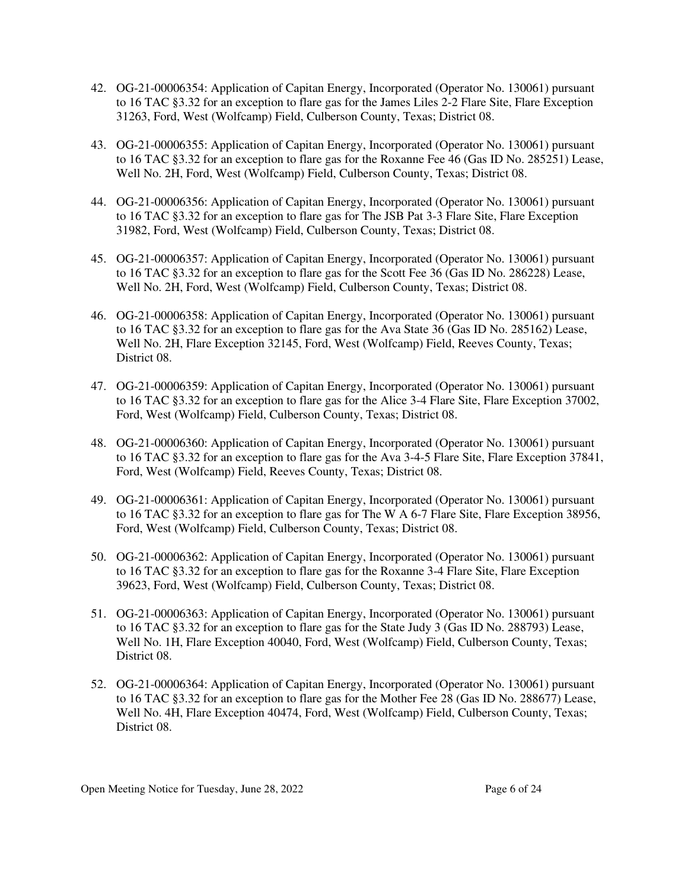- 42. OG-21-00006354: Application of Capitan Energy, Incorporated (Operator No. 130061) pursuant to 16 TAC §3.32 for an exception to flare gas for the James Liles 2-2 Flare Site, Flare Exception 31263, Ford, West (Wolfcamp) Field, Culberson County, Texas; District 08.
- 43. OG-21-00006355: Application of Capitan Energy, Incorporated (Operator No. 130061) pursuant to 16 TAC §3.32 for an exception to flare gas for the Roxanne Fee 46 (Gas ID No. 285251) Lease, Well No. 2H, Ford, West (Wolfcamp) Field, Culberson County, Texas; District 08.
- 44. OG-21-00006356: Application of Capitan Energy, Incorporated (Operator No. 130061) pursuant to 16 TAC §3.32 for an exception to flare gas for The JSB Pat 3-3 Flare Site, Flare Exception 31982, Ford, West (Wolfcamp) Field, Culberson County, Texas; District 08.
- 45. OG-21-00006357: Application of Capitan Energy, Incorporated (Operator No. 130061) pursuant to 16 TAC §3.32 for an exception to flare gas for the Scott Fee 36 (Gas ID No. 286228) Lease, Well No. 2H, Ford, West (Wolfcamp) Field, Culberson County, Texas; District 08.
- 46. OG-21-00006358: Application of Capitan Energy, Incorporated (Operator No. 130061) pursuant to 16 TAC §3.32 for an exception to flare gas for the Ava State 36 (Gas ID No. 285162) Lease, Well No. 2H, Flare Exception 32145, Ford, West (Wolfcamp) Field, Reeves County, Texas; District 08.
- 47. OG-21-00006359: Application of Capitan Energy, Incorporated (Operator No. 130061) pursuant to 16 TAC §3.32 for an exception to flare gas for the Alice 3-4 Flare Site, Flare Exception 37002, Ford, West (Wolfcamp) Field, Culberson County, Texas; District 08.
- 48. OG-21-00006360: Application of Capitan Energy, Incorporated (Operator No. 130061) pursuant to 16 TAC §3.32 for an exception to flare gas for the Ava 3-4-5 Flare Site, Flare Exception 37841, Ford, West (Wolfcamp) Field, Reeves County, Texas; District 08.
- 49. OG-21-00006361: Application of Capitan Energy, Incorporated (Operator No. 130061) pursuant to 16 TAC §3.32 for an exception to flare gas for The W A 6-7 Flare Site, Flare Exception 38956, Ford, West (Wolfcamp) Field, Culberson County, Texas; District 08.
- 50. OG-21-00006362: Application of Capitan Energy, Incorporated (Operator No. 130061) pursuant to 16 TAC §3.32 for an exception to flare gas for the Roxanne 3-4 Flare Site, Flare Exception 39623, Ford, West (Wolfcamp) Field, Culberson County, Texas; District 08.
- 51. OG-21-00006363: Application of Capitan Energy, Incorporated (Operator No. 130061) pursuant to 16 TAC §3.32 for an exception to flare gas for the State Judy 3 (Gas ID No. 288793) Lease, Well No. 1H, Flare Exception 40040, Ford, West (Wolfcamp) Field, Culberson County, Texas; District 08.
- 52. OG-21-00006364: Application of Capitan Energy, Incorporated (Operator No. 130061) pursuant to 16 TAC §3.32 for an exception to flare gas for the Mother Fee 28 (Gas ID No. 288677) Lease, Well No. 4H, Flare Exception 40474, Ford, West (Wolfcamp) Field, Culberson County, Texas; District 08.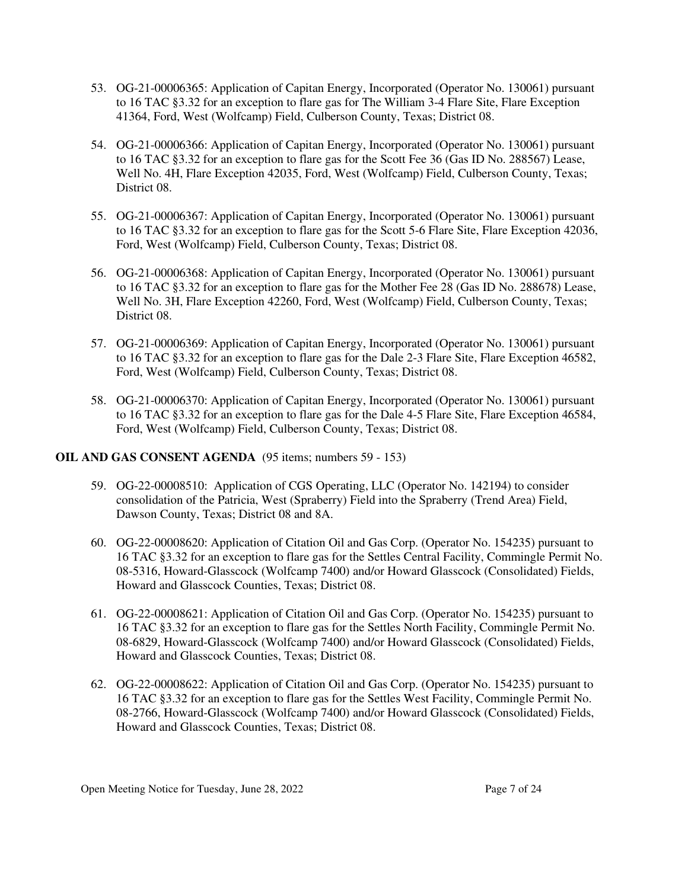- 53. OG-21-00006365: Application of Capitan Energy, Incorporated (Operator No. 130061) pursuant to 16 TAC §3.32 for an exception to flare gas for The William 3-4 Flare Site, Flare Exception 41364, Ford, West (Wolfcamp) Field, Culberson County, Texas; District 08.
- 54. OG-21-00006366: Application of Capitan Energy, Incorporated (Operator No. 130061) pursuant to 16 TAC §3.32 for an exception to flare gas for the Scott Fee 36 (Gas ID No. 288567) Lease, Well No. 4H, Flare Exception 42035, Ford, West (Wolfcamp) Field, Culberson County, Texas; District 08.
- 55. OG-21-00006367: Application of Capitan Energy, Incorporated (Operator No. 130061) pursuant to 16 TAC §3.32 for an exception to flare gas for the Scott 5-6 Flare Site, Flare Exception 42036, Ford, West (Wolfcamp) Field, Culberson County, Texas; District 08.
- 56. OG-21-00006368: Application of Capitan Energy, Incorporated (Operator No. 130061) pursuant to 16 TAC §3.32 for an exception to flare gas for the Mother Fee 28 (Gas ID No. 288678) Lease, Well No. 3H, Flare Exception 42260, Ford, West (Wolfcamp) Field, Culberson County, Texas; District 08.
- 57. OG-21-00006369: Application of Capitan Energy, Incorporated (Operator No. 130061) pursuant to 16 TAC §3.32 for an exception to flare gas for the Dale 2-3 Flare Site, Flare Exception 46582, Ford, West (Wolfcamp) Field, Culberson County, Texas; District 08.
- 58. OG-21-00006370: Application of Capitan Energy, Incorporated (Operator No. 130061) pursuant to 16 TAC §3.32 for an exception to flare gas for the Dale 4-5 Flare Site, Flare Exception 46584, Ford, West (Wolfcamp) Field, Culberson County, Texas; District 08.

# **OIL AND GAS CONSENT AGENDA** (95 items; numbers 59 - 153)

- 59. OG-22-00008510: Application of CGS Operating, LLC (Operator No. 142194) to consider consolidation of the Patricia, West (Spraberry) Field into the Spraberry (Trend Area) Field, Dawson County, Texas; District 08 and 8A.
- 60. OG-22-00008620: Application of Citation Oil and Gas Corp. (Operator No. 154235) pursuant to 16 TAC §3.32 for an exception to flare gas for the Settles Central Facility, Commingle Permit No. 08-5316, Howard-Glasscock (Wolfcamp 7400) and/or Howard Glasscock (Consolidated) Fields, Howard and Glasscock Counties, Texas; District 08.
- 61. OG-22-00008621: Application of Citation Oil and Gas Corp. (Operator No. 154235) pursuant to 16 TAC §3.32 for an exception to flare gas for the Settles North Facility, Commingle Permit No. 08-6829, Howard-Glasscock (Wolfcamp 7400) and/or Howard Glasscock (Consolidated) Fields, Howard and Glasscock Counties, Texas; District 08.
- 62. OG-22-00008622: Application of Citation Oil and Gas Corp. (Operator No. 154235) pursuant to 16 TAC §3.32 for an exception to flare gas for the Settles West Facility, Commingle Permit No. 08-2766, Howard-Glasscock (Wolfcamp 7400) and/or Howard Glasscock (Consolidated) Fields, Howard and Glasscock Counties, Texas; District 08.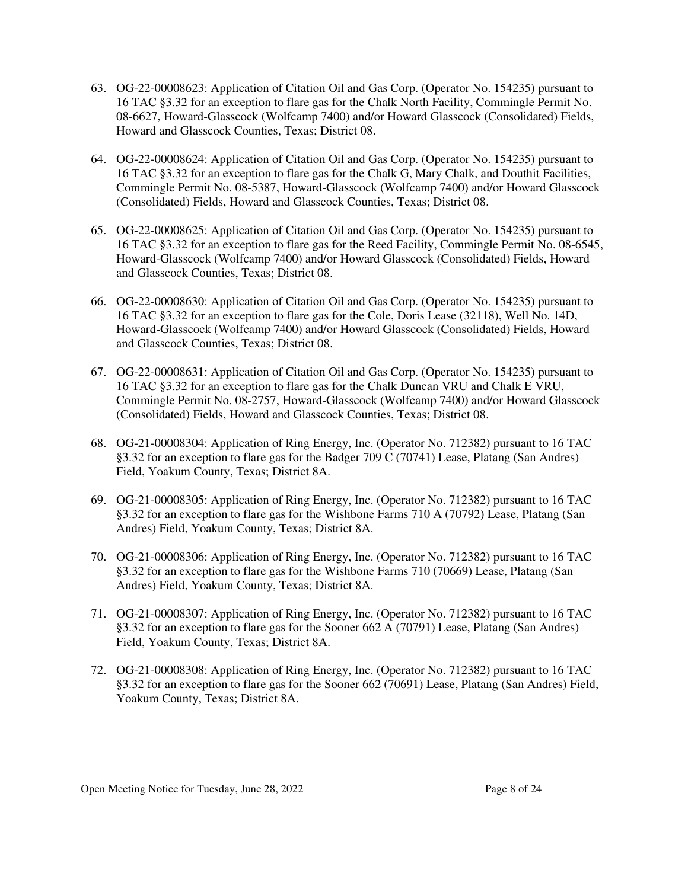- 63. OG-22-00008623: Application of Citation Oil and Gas Corp. (Operator No. 154235) pursuant to 16 TAC §3.32 for an exception to flare gas for the Chalk North Facility, Commingle Permit No. 08-6627, Howard-Glasscock (Wolfcamp 7400) and/or Howard Glasscock (Consolidated) Fields, Howard and Glasscock Counties, Texas; District 08.
- 64. OG-22-00008624: Application of Citation Oil and Gas Corp. (Operator No. 154235) pursuant to 16 TAC §3.32 for an exception to flare gas for the Chalk G, Mary Chalk, and Douthit Facilities, Commingle Permit No. 08-5387, Howard-Glasscock (Wolfcamp 7400) and/or Howard Glasscock (Consolidated) Fields, Howard and Glasscock Counties, Texas; District 08.
- 65. OG-22-00008625: Application of Citation Oil and Gas Corp. (Operator No. 154235) pursuant to 16 TAC §3.32 for an exception to flare gas for the Reed Facility, Commingle Permit No. 08-6545, Howard-Glasscock (Wolfcamp 7400) and/or Howard Glasscock (Consolidated) Fields, Howard and Glasscock Counties, Texas; District 08.
- 66. OG-22-00008630: Application of Citation Oil and Gas Corp. (Operator No. 154235) pursuant to 16 TAC §3.32 for an exception to flare gas for the Cole, Doris Lease (32118), Well No. 14D, Howard-Glasscock (Wolfcamp 7400) and/or Howard Glasscock (Consolidated) Fields, Howard and Glasscock Counties, Texas; District 08.
- 67. OG-22-00008631: Application of Citation Oil and Gas Corp. (Operator No. 154235) pursuant to 16 TAC §3.32 for an exception to flare gas for the Chalk Duncan VRU and Chalk E VRU, Commingle Permit No. 08-2757, Howard-Glasscock (Wolfcamp 7400) and/or Howard Glasscock (Consolidated) Fields, Howard and Glasscock Counties, Texas; District 08.
- 68. OG-21-00008304: Application of Ring Energy, Inc. (Operator No. 712382) pursuant to 16 TAC §3.32 for an exception to flare gas for the Badger 709 C (70741) Lease, Platang (San Andres) Field, Yoakum County, Texas; District 8A.
- 69. OG-21-00008305: Application of Ring Energy, Inc. (Operator No. 712382) pursuant to 16 TAC §3.32 for an exception to flare gas for the Wishbone Farms 710 A (70792) Lease, Platang (San Andres) Field, Yoakum County, Texas; District 8A.
- 70. OG-21-00008306: Application of Ring Energy, Inc. (Operator No. 712382) pursuant to 16 TAC §3.32 for an exception to flare gas for the Wishbone Farms 710 (70669) Lease, Platang (San Andres) Field, Yoakum County, Texas; District 8A.
- 71. OG-21-00008307: Application of Ring Energy, Inc. (Operator No. 712382) pursuant to 16 TAC §3.32 for an exception to flare gas for the Sooner 662 A (70791) Lease, Platang (San Andres) Field, Yoakum County, Texas; District 8A.
- 72. OG-21-00008308: Application of Ring Energy, Inc. (Operator No. 712382) pursuant to 16 TAC §3.32 for an exception to flare gas for the Sooner 662 (70691) Lease, Platang (San Andres) Field, Yoakum County, Texas; District 8A.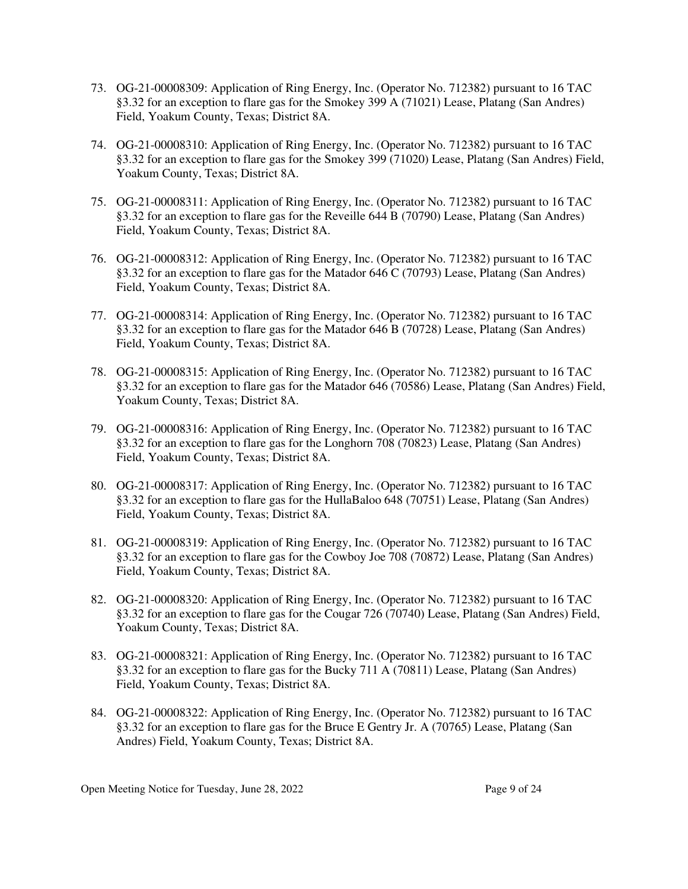- 73. OG-21-00008309: Application of Ring Energy, Inc. (Operator No. 712382) pursuant to 16 TAC §3.32 for an exception to flare gas for the Smokey 399 A (71021) Lease, Platang (San Andres) Field, Yoakum County, Texas; District 8A.
- 74. OG-21-00008310: Application of Ring Energy, Inc. (Operator No. 712382) pursuant to 16 TAC §3.32 for an exception to flare gas for the Smokey 399 (71020) Lease, Platang (San Andres) Field, Yoakum County, Texas; District 8A.
- 75. OG-21-00008311: Application of Ring Energy, Inc. (Operator No. 712382) pursuant to 16 TAC §3.32 for an exception to flare gas for the Reveille 644 B (70790) Lease, Platang (San Andres) Field, Yoakum County, Texas; District 8A.
- 76. OG-21-00008312: Application of Ring Energy, Inc. (Operator No. 712382) pursuant to 16 TAC §3.32 for an exception to flare gas for the Matador 646 C (70793) Lease, Platang (San Andres) Field, Yoakum County, Texas; District 8A.
- 77. OG-21-00008314: Application of Ring Energy, Inc. (Operator No. 712382) pursuant to 16 TAC §3.32 for an exception to flare gas for the Matador 646 B (70728) Lease, Platang (San Andres) Field, Yoakum County, Texas; District 8A.
- 78. OG-21-00008315: Application of Ring Energy, Inc. (Operator No. 712382) pursuant to 16 TAC §3.32 for an exception to flare gas for the Matador 646 (70586) Lease, Platang (San Andres) Field, Yoakum County, Texas; District 8A.
- 79. OG-21-00008316: Application of Ring Energy, Inc. (Operator No. 712382) pursuant to 16 TAC §3.32 for an exception to flare gas for the Longhorn 708 (70823) Lease, Platang (San Andres) Field, Yoakum County, Texas; District 8A.
- 80. OG-21-00008317: Application of Ring Energy, Inc. (Operator No. 712382) pursuant to 16 TAC §3.32 for an exception to flare gas for the HullaBaloo 648 (70751) Lease, Platang (San Andres) Field, Yoakum County, Texas; District 8A.
- 81. OG-21-00008319: Application of Ring Energy, Inc. (Operator No. 712382) pursuant to 16 TAC §3.32 for an exception to flare gas for the Cowboy Joe 708 (70872) Lease, Platang (San Andres) Field, Yoakum County, Texas; District 8A.
- 82. OG-21-00008320: Application of Ring Energy, Inc. (Operator No. 712382) pursuant to 16 TAC §3.32 for an exception to flare gas for the Cougar 726 (70740) Lease, Platang (San Andres) Field, Yoakum County, Texas; District 8A.
- 83. OG-21-00008321: Application of Ring Energy, Inc. (Operator No. 712382) pursuant to 16 TAC §3.32 for an exception to flare gas for the Bucky 711 A (70811) Lease, Platang (San Andres) Field, Yoakum County, Texas; District 8A.
- 84. OG-21-00008322: Application of Ring Energy, Inc. (Operator No. 712382) pursuant to 16 TAC §3.32 for an exception to flare gas for the Bruce E Gentry Jr. A (70765) Lease, Platang (San Andres) Field, Yoakum County, Texas; District 8A.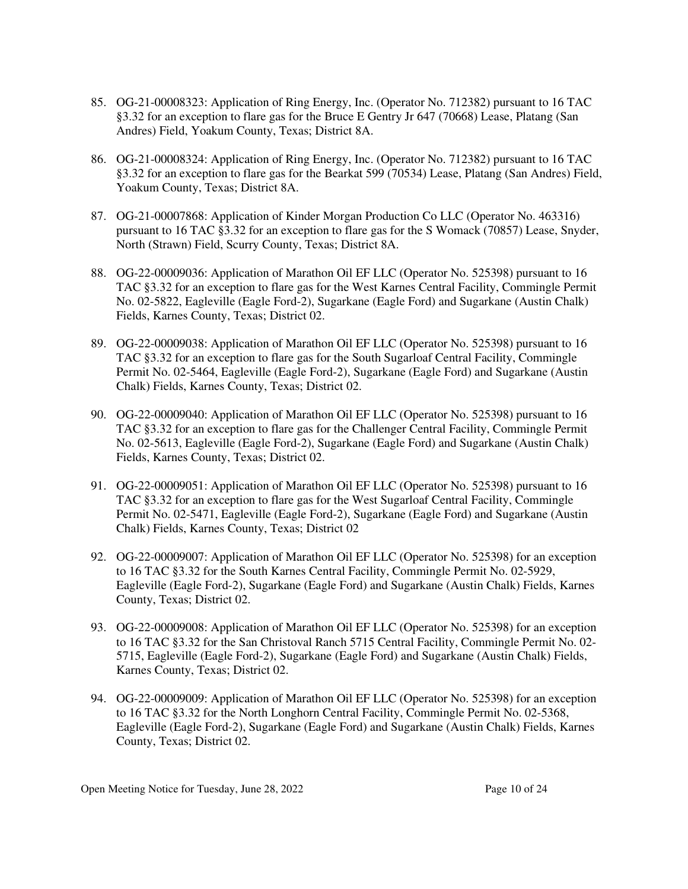- 85. OG-21-00008323: Application of Ring Energy, Inc. (Operator No. 712382) pursuant to 16 TAC §3.32 for an exception to flare gas for the Bruce E Gentry Jr 647 (70668) Lease, Platang (San Andres) Field, Yoakum County, Texas; District 8A.
- 86. OG-21-00008324: Application of Ring Energy, Inc. (Operator No. 712382) pursuant to 16 TAC §3.32 for an exception to flare gas for the Bearkat 599 (70534) Lease, Platang (San Andres) Field, Yoakum County, Texas; District 8A.
- 87. OG-21-00007868: Application of Kinder Morgan Production Co LLC (Operator No. 463316) pursuant to 16 TAC §3.32 for an exception to flare gas for the S Womack (70857) Lease, Snyder, North (Strawn) Field, Scurry County, Texas; District 8A.
- 88. OG-22-00009036: Application of Marathon Oil EF LLC (Operator No. 525398) pursuant to 16 TAC §3.32 for an exception to flare gas for the West Karnes Central Facility, Commingle Permit No. 02-5822, Eagleville (Eagle Ford-2), Sugarkane (Eagle Ford) and Sugarkane (Austin Chalk) Fields, Karnes County, Texas; District 02.
- 89. OG-22-00009038: Application of Marathon Oil EF LLC (Operator No. 525398) pursuant to 16 TAC §3.32 for an exception to flare gas for the South Sugarloaf Central Facility, Commingle Permit No. 02-5464, Eagleville (Eagle Ford-2), Sugarkane (Eagle Ford) and Sugarkane (Austin Chalk) Fields, Karnes County, Texas; District 02.
- 90. OG-22-00009040: Application of Marathon Oil EF LLC (Operator No. 525398) pursuant to 16 TAC §3.32 for an exception to flare gas for the Challenger Central Facility, Commingle Permit No. 02-5613, Eagleville (Eagle Ford-2), Sugarkane (Eagle Ford) and Sugarkane (Austin Chalk) Fields, Karnes County, Texas; District 02.
- 91. OG-22-00009051: Application of Marathon Oil EF LLC (Operator No. 525398) pursuant to 16 TAC §3.32 for an exception to flare gas for the West Sugarloaf Central Facility, Commingle Permit No. 02-5471, Eagleville (Eagle Ford-2), Sugarkane (Eagle Ford) and Sugarkane (Austin Chalk) Fields, Karnes County, Texas; District 02
- 92. OG-22-00009007: Application of Marathon Oil EF LLC (Operator No. 525398) for an exception to 16 TAC §3.32 for the South Karnes Central Facility, Commingle Permit No. 02-5929, Eagleville (Eagle Ford-2), Sugarkane (Eagle Ford) and Sugarkane (Austin Chalk) Fields, Karnes County, Texas; District 02.
- 93. OG-22-00009008: Application of Marathon Oil EF LLC (Operator No. 525398) for an exception to 16 TAC §3.32 for the San Christoval Ranch 5715 Central Facility, Commingle Permit No. 02- 5715, Eagleville (Eagle Ford-2), Sugarkane (Eagle Ford) and Sugarkane (Austin Chalk) Fields, Karnes County, Texas; District 02.
- 94. OG-22-00009009: Application of Marathon Oil EF LLC (Operator No. 525398) for an exception to 16 TAC §3.32 for the North Longhorn Central Facility, Commingle Permit No. 02-5368, Eagleville (Eagle Ford-2), Sugarkane (Eagle Ford) and Sugarkane (Austin Chalk) Fields, Karnes County, Texas; District 02.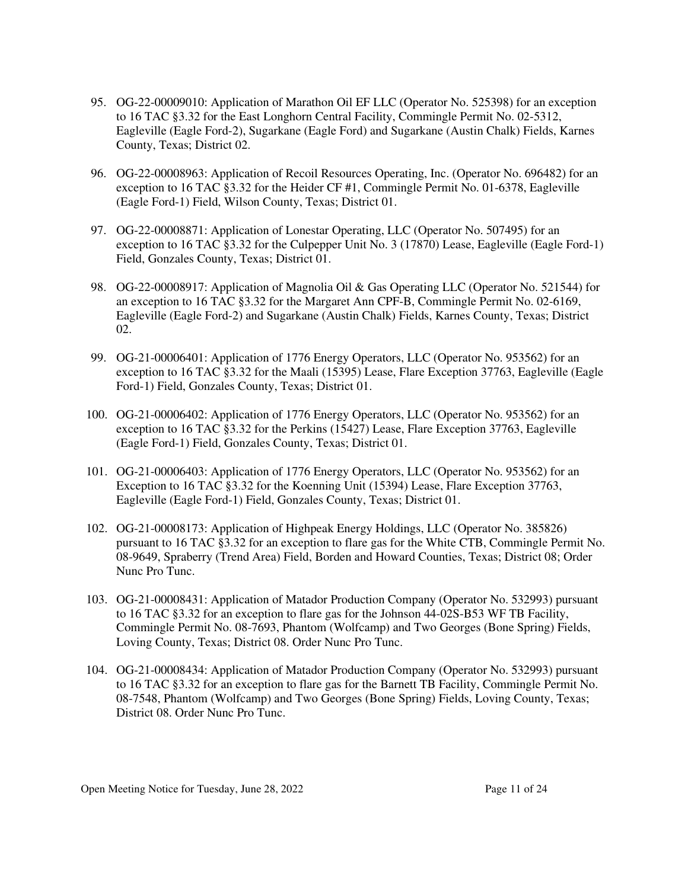- 95. OG-22-00009010: Application of Marathon Oil EF LLC (Operator No. 525398) for an exception to 16 TAC §3.32 for the East Longhorn Central Facility, Commingle Permit No. 02-5312, Eagleville (Eagle Ford-2), Sugarkane (Eagle Ford) and Sugarkane (Austin Chalk) Fields, Karnes County, Texas; District 02.
- 96. OG-22-00008963: Application of Recoil Resources Operating, Inc. (Operator No. 696482) for an exception to 16 TAC §3.32 for the Heider CF #1, Commingle Permit No. 01-6378, Eagleville (Eagle Ford-1) Field, Wilson County, Texas; District 01.
- 97. OG-22-00008871: Application of Lonestar Operating, LLC (Operator No. 507495) for an exception to 16 TAC §3.32 for the Culpepper Unit No. 3 (17870) Lease, Eagleville (Eagle Ford-1) Field, Gonzales County, Texas; District 01.
- 98. OG-22-00008917: Application of Magnolia Oil & Gas Operating LLC (Operator No. 521544) for an exception to 16 TAC §3.32 for the Margaret Ann CPF-B, Commingle Permit No. 02-6169, Eagleville (Eagle Ford-2) and Sugarkane (Austin Chalk) Fields, Karnes County, Texas; District 02.
- 99. OG-21-00006401: Application of 1776 Energy Operators, LLC (Operator No. 953562) for an exception to 16 TAC §3.32 for the Maali (15395) Lease, Flare Exception 37763, Eagleville (Eagle Ford-1) Field, Gonzales County, Texas; District 01.
- 100. OG-21-00006402: Application of 1776 Energy Operators, LLC (Operator No. 953562) for an exception to 16 TAC §3.32 for the Perkins (15427) Lease, Flare Exception 37763, Eagleville (Eagle Ford-1) Field, Gonzales County, Texas; District 01.
- 101. OG-21-00006403: Application of 1776 Energy Operators, LLC (Operator No. 953562) for an Exception to 16 TAC §3.32 for the Koenning Unit (15394) Lease, Flare Exception 37763, Eagleville (Eagle Ford-1) Field, Gonzales County, Texas; District 01.
- 102. OG-21-00008173: Application of Highpeak Energy Holdings, LLC (Operator No. 385826) pursuant to 16 TAC §3.32 for an exception to flare gas for the White CTB, Commingle Permit No. 08-9649, Spraberry (Trend Area) Field, Borden and Howard Counties, Texas; District 08; Order Nunc Pro Tunc.
- 103. OG-21-00008431: Application of Matador Production Company (Operator No. 532993) pursuant to 16 TAC §3.32 for an exception to flare gas for the Johnson 44-02S-B53 WF TB Facility, Commingle Permit No. 08-7693, Phantom (Wolfcamp) and Two Georges (Bone Spring) Fields, Loving County, Texas; District 08. Order Nunc Pro Tunc.
- 104. OG-21-00008434: Application of Matador Production Company (Operator No. 532993) pursuant to 16 TAC §3.32 for an exception to flare gas for the Barnett TB Facility, Commingle Permit No. 08-7548, Phantom (Wolfcamp) and Two Georges (Bone Spring) Fields, Loving County, Texas; District 08. Order Nunc Pro Tunc.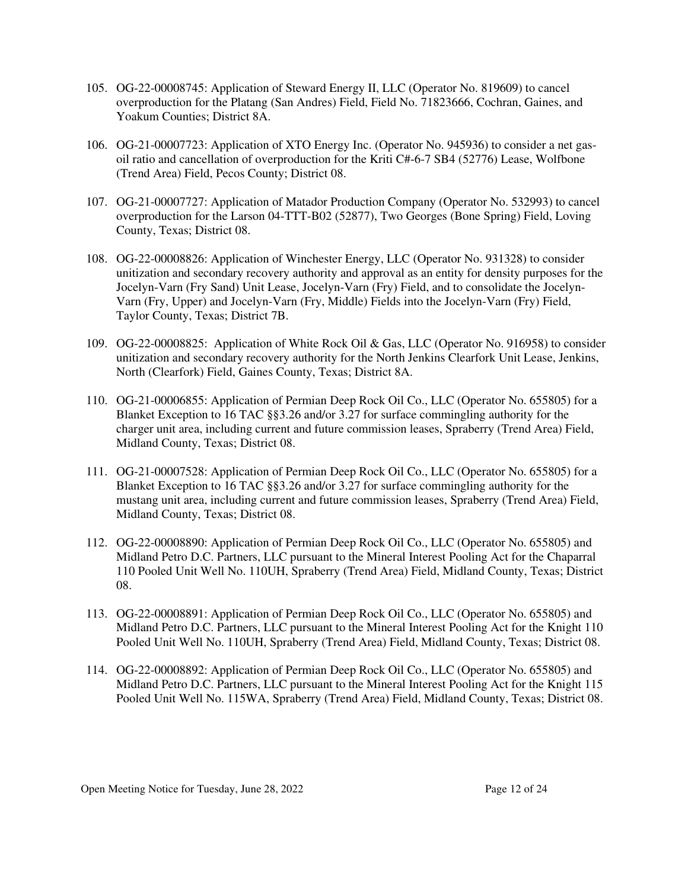- 105. OG-22-00008745: Application of Steward Energy II, LLC (Operator No. 819609) to cancel overproduction for the Platang (San Andres) Field, Field No. 71823666, Cochran, Gaines, and Yoakum Counties; District 8A.
- 106. OG-21-00007723: Application of XTO Energy Inc. (Operator No. 945936) to consider a net gasoil ratio and cancellation of overproduction for the Kriti C#-6-7 SB4 (52776) Lease, Wolfbone (Trend Area) Field, Pecos County; District 08.
- 107. OG-21-00007727: Application of Matador Production Company (Operator No. 532993) to cancel overproduction for the Larson 04-TTT-B02 (52877), Two Georges (Bone Spring) Field, Loving County, Texas; District 08.
- 108. OG-22-00008826: Application of Winchester Energy, LLC (Operator No. 931328) to consider unitization and secondary recovery authority and approval as an entity for density purposes for the Jocelyn-Varn (Fry Sand) Unit Lease, Jocelyn-Varn (Fry) Field, and to consolidate the Jocelyn-Varn (Fry, Upper) and Jocelyn-Varn (Fry, Middle) Fields into the Jocelyn-Varn (Fry) Field, Taylor County, Texas; District 7B.
- 109. OG-22-00008825: Application of White Rock Oil & Gas, LLC (Operator No. 916958) to consider unitization and secondary recovery authority for the North Jenkins Clearfork Unit Lease, Jenkins, North (Clearfork) Field, Gaines County, Texas; District 8A.
- 110. OG-21-00006855: Application of Permian Deep Rock Oil Co., LLC (Operator No. 655805) for a Blanket Exception to 16 TAC §§3.26 and/or 3.27 for surface commingling authority for the charger unit area, including current and future commission leases, Spraberry (Trend Area) Field, Midland County, Texas; District 08.
- 111. OG-21-00007528: Application of Permian Deep Rock Oil Co., LLC (Operator No. 655805) for a Blanket Exception to 16 TAC §§3.26 and/or 3.27 for surface commingling authority for the mustang unit area, including current and future commission leases, Spraberry (Trend Area) Field, Midland County, Texas; District 08.
- 112. OG-22-00008890: Application of Permian Deep Rock Oil Co., LLC (Operator No. 655805) and Midland Petro D.C. Partners, LLC pursuant to the Mineral Interest Pooling Act for the Chaparral 110 Pooled Unit Well No. 110UH, Spraberry (Trend Area) Field, Midland County, Texas; District 08.
- 113. OG-22-00008891: Application of Permian Deep Rock Oil Co., LLC (Operator No. 655805) and Midland Petro D.C. Partners, LLC pursuant to the Mineral Interest Pooling Act for the Knight 110 Pooled Unit Well No. 110UH, Spraberry (Trend Area) Field, Midland County, Texas; District 08.
- 114. OG-22-00008892: Application of Permian Deep Rock Oil Co., LLC (Operator No. 655805) and Midland Petro D.C. Partners, LLC pursuant to the Mineral Interest Pooling Act for the Knight 115 Pooled Unit Well No. 115WA, Spraberry (Trend Area) Field, Midland County, Texas; District 08.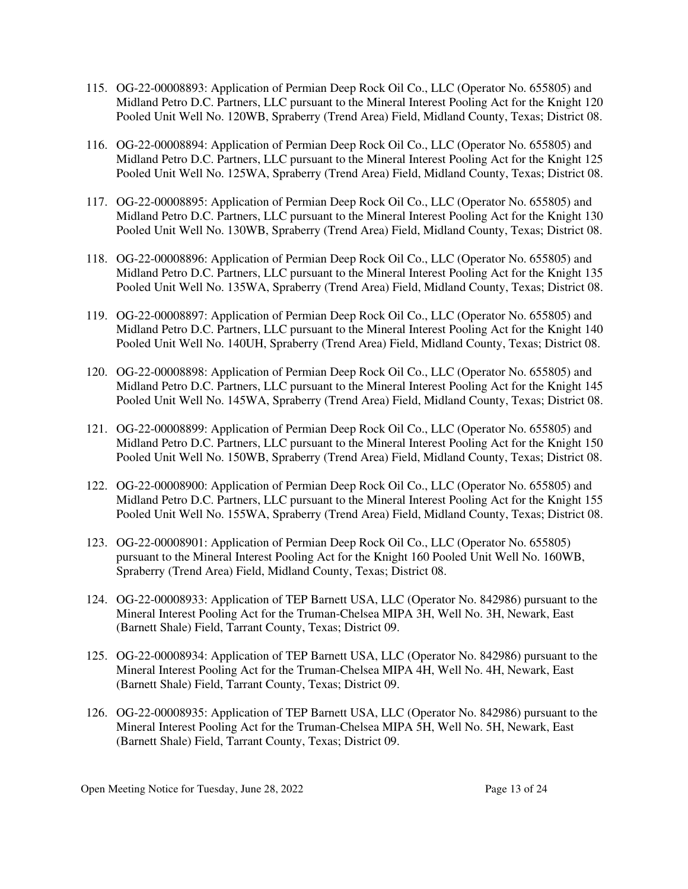- 115. OG-22-00008893: Application of Permian Deep Rock Oil Co., LLC (Operator No. 655805) and Midland Petro D.C. Partners, LLC pursuant to the Mineral Interest Pooling Act for the Knight 120 Pooled Unit Well No. 120WB, Spraberry (Trend Area) Field, Midland County, Texas; District 08.
- 116. OG-22-00008894: Application of Permian Deep Rock Oil Co., LLC (Operator No. 655805) and Midland Petro D.C. Partners, LLC pursuant to the Mineral Interest Pooling Act for the Knight 125 Pooled Unit Well No. 125WA, Spraberry (Trend Area) Field, Midland County, Texas; District 08.
- 117. OG-22-00008895: Application of Permian Deep Rock Oil Co., LLC (Operator No. 655805) and Midland Petro D.C. Partners, LLC pursuant to the Mineral Interest Pooling Act for the Knight 130 Pooled Unit Well No. 130WB, Spraberry (Trend Area) Field, Midland County, Texas; District 08.
- 118. OG-22-00008896: Application of Permian Deep Rock Oil Co., LLC (Operator No. 655805) and Midland Petro D.C. Partners, LLC pursuant to the Mineral Interest Pooling Act for the Knight 135 Pooled Unit Well No. 135WA, Spraberry (Trend Area) Field, Midland County, Texas; District 08.
- 119. OG-22-00008897: Application of Permian Deep Rock Oil Co., LLC (Operator No. 655805) and Midland Petro D.C. Partners, LLC pursuant to the Mineral Interest Pooling Act for the Knight 140 Pooled Unit Well No. 140UH, Spraberry (Trend Area) Field, Midland County, Texas; District 08.
- 120. OG-22-00008898: Application of Permian Deep Rock Oil Co., LLC (Operator No. 655805) and Midland Petro D.C. Partners, LLC pursuant to the Mineral Interest Pooling Act for the Knight 145 Pooled Unit Well No. 145WA, Spraberry (Trend Area) Field, Midland County, Texas; District 08.
- 121. OG-22-00008899: Application of Permian Deep Rock Oil Co., LLC (Operator No. 655805) and Midland Petro D.C. Partners, LLC pursuant to the Mineral Interest Pooling Act for the Knight 150 Pooled Unit Well No. 150WB, Spraberry (Trend Area) Field, Midland County, Texas; District 08.
- 122. OG-22-00008900: Application of Permian Deep Rock Oil Co., LLC (Operator No. 655805) and Midland Petro D.C. Partners, LLC pursuant to the Mineral Interest Pooling Act for the Knight 155 Pooled Unit Well No. 155WA, Spraberry (Trend Area) Field, Midland County, Texas; District 08.
- 123. OG-22-00008901: Application of Permian Deep Rock Oil Co., LLC (Operator No. 655805) pursuant to the Mineral Interest Pooling Act for the Knight 160 Pooled Unit Well No. 160WB, Spraberry (Trend Area) Field, Midland County, Texas; District 08.
- 124. OG-22-00008933: Application of TEP Barnett USA, LLC (Operator No. 842986) pursuant to the Mineral Interest Pooling Act for the Truman-Chelsea MIPA 3H, Well No. 3H, Newark, East (Barnett Shale) Field, Tarrant County, Texas; District 09.
- 125. OG-22-00008934: Application of TEP Barnett USA, LLC (Operator No. 842986) pursuant to the Mineral Interest Pooling Act for the Truman-Chelsea MIPA 4H, Well No. 4H, Newark, East (Barnett Shale) Field, Tarrant County, Texas; District 09.
- 126. OG-22-00008935: Application of TEP Barnett USA, LLC (Operator No. 842986) pursuant to the Mineral Interest Pooling Act for the Truman-Chelsea MIPA 5H, Well No. 5H, Newark, East (Barnett Shale) Field, Tarrant County, Texas; District 09.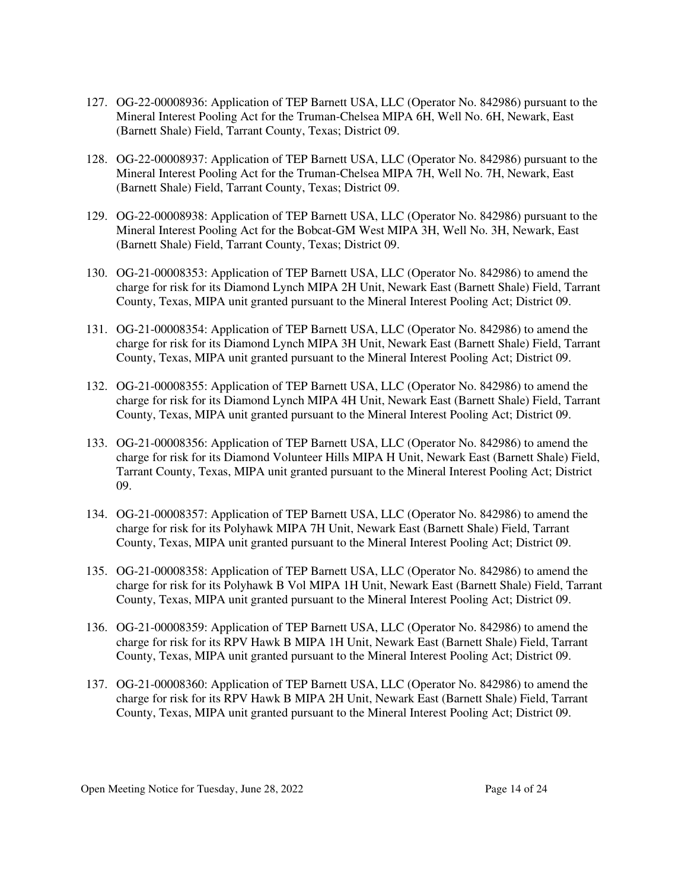- 127. OG-22-00008936: Application of TEP Barnett USA, LLC (Operator No. 842986) pursuant to the Mineral Interest Pooling Act for the Truman-Chelsea MIPA 6H, Well No. 6H, Newark, East (Barnett Shale) Field, Tarrant County, Texas; District 09.
- 128. OG-22-00008937: Application of TEP Barnett USA, LLC (Operator No. 842986) pursuant to the Mineral Interest Pooling Act for the Truman-Chelsea MIPA 7H, Well No. 7H, Newark, East (Barnett Shale) Field, Tarrant County, Texas; District 09.
- 129. OG-22-00008938: Application of TEP Barnett USA, LLC (Operator No. 842986) pursuant to the Mineral Interest Pooling Act for the Bobcat-GM West MIPA 3H, Well No. 3H, Newark, East (Barnett Shale) Field, Tarrant County, Texas; District 09.
- 130. OG-21-00008353: Application of TEP Barnett USA, LLC (Operator No. 842986) to amend the charge for risk for its Diamond Lynch MIPA 2H Unit, Newark East (Barnett Shale) Field, Tarrant County, Texas, MIPA unit granted pursuant to the Mineral Interest Pooling Act; District 09.
- 131. OG-21-00008354: Application of TEP Barnett USA, LLC (Operator No. 842986) to amend the charge for risk for its Diamond Lynch MIPA 3H Unit, Newark East (Barnett Shale) Field, Tarrant County, Texas, MIPA unit granted pursuant to the Mineral Interest Pooling Act; District 09.
- 132. OG-21-00008355: Application of TEP Barnett USA, LLC (Operator No. 842986) to amend the charge for risk for its Diamond Lynch MIPA 4H Unit, Newark East (Barnett Shale) Field, Tarrant County, Texas, MIPA unit granted pursuant to the Mineral Interest Pooling Act; District 09.
- 133. OG-21-00008356: Application of TEP Barnett USA, LLC (Operator No. 842986) to amend the charge for risk for its Diamond Volunteer Hills MIPA H Unit, Newark East (Barnett Shale) Field, Tarrant County, Texas, MIPA unit granted pursuant to the Mineral Interest Pooling Act; District 09.
- 134. OG-21-00008357: Application of TEP Barnett USA, LLC (Operator No. 842986) to amend the charge for risk for its Polyhawk MIPA 7H Unit, Newark East (Barnett Shale) Field, Tarrant County, Texas, MIPA unit granted pursuant to the Mineral Interest Pooling Act; District 09.
- 135. OG-21-00008358: Application of TEP Barnett USA, LLC (Operator No. 842986) to amend the charge for risk for its Polyhawk B Vol MIPA 1H Unit, Newark East (Barnett Shale) Field, Tarrant County, Texas, MIPA unit granted pursuant to the Mineral Interest Pooling Act; District 09.
- 136. OG-21-00008359: Application of TEP Barnett USA, LLC (Operator No. 842986) to amend the charge for risk for its RPV Hawk B MIPA 1H Unit, Newark East (Barnett Shale) Field, Tarrant County, Texas, MIPA unit granted pursuant to the Mineral Interest Pooling Act; District 09.
- 137. OG-21-00008360: Application of TEP Barnett USA, LLC (Operator No. 842986) to amend the charge for risk for its RPV Hawk B MIPA 2H Unit, Newark East (Barnett Shale) Field, Tarrant County, Texas, MIPA unit granted pursuant to the Mineral Interest Pooling Act; District 09.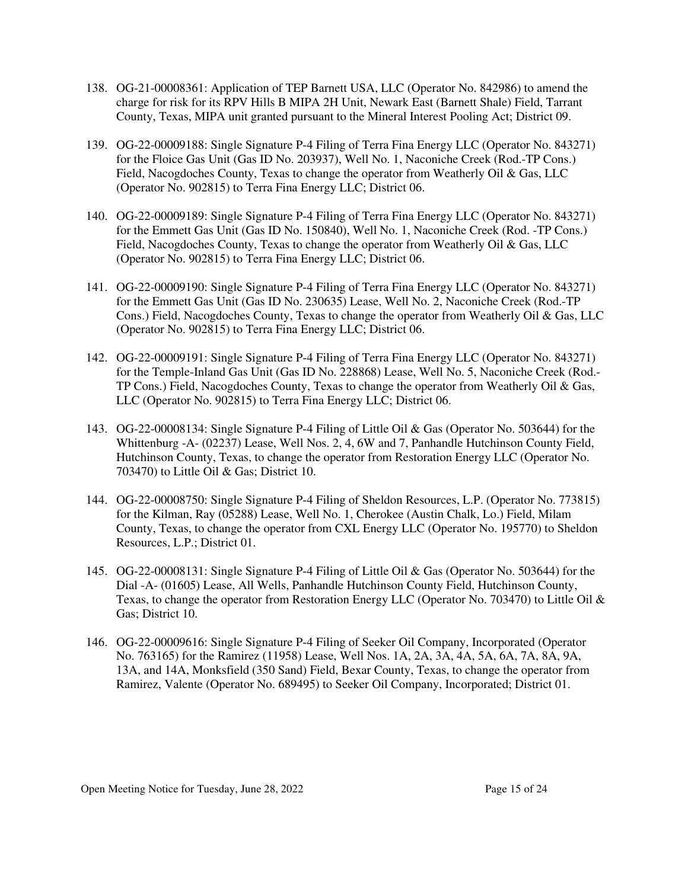- 138. OG-21-00008361: Application of TEP Barnett USA, LLC (Operator No. 842986) to amend the charge for risk for its RPV Hills B MIPA 2H Unit, Newark East (Barnett Shale) Field, Tarrant County, Texas, MIPA unit granted pursuant to the Mineral Interest Pooling Act; District 09.
- 139. OG-22-00009188: Single Signature P-4 Filing of Terra Fina Energy LLC (Operator No. 843271) for the Floice Gas Unit (Gas ID No. 203937), Well No. 1, Naconiche Creek (Rod.-TP Cons.) Field, Nacogdoches County, Texas to change the operator from Weatherly Oil & Gas, LLC (Operator No. 902815) to Terra Fina Energy LLC; District 06.
- 140. OG-22-00009189: Single Signature P-4 Filing of Terra Fina Energy LLC (Operator No. 843271) for the Emmett Gas Unit (Gas ID No. 150840), Well No. 1, Naconiche Creek (Rod. -TP Cons.) Field, Nacogdoches County, Texas to change the operator from Weatherly Oil & Gas, LLC (Operator No. 902815) to Terra Fina Energy LLC; District 06.
- 141. OG-22-00009190: Single Signature P-4 Filing of Terra Fina Energy LLC (Operator No. 843271) for the Emmett Gas Unit (Gas ID No. 230635) Lease, Well No. 2, Naconiche Creek (Rod.-TP Cons.) Field, Nacogdoches County, Texas to change the operator from Weatherly Oil & Gas, LLC (Operator No. 902815) to Terra Fina Energy LLC; District 06.
- 142. OG-22-00009191: Single Signature P-4 Filing of Terra Fina Energy LLC (Operator No. 843271) for the Temple-Inland Gas Unit (Gas ID No. 228868) Lease, Well No. 5, Naconiche Creek (Rod.- TP Cons.) Field, Nacogdoches County, Texas to change the operator from Weatherly Oil & Gas, LLC (Operator No. 902815) to Terra Fina Energy LLC; District 06.
- 143. OG-22-00008134: Single Signature P-4 Filing of Little Oil & Gas (Operator No. 503644) for the Whittenburg -A- (02237) Lease, Well Nos. 2, 4, 6W and 7, Panhandle Hutchinson County Field, Hutchinson County, Texas, to change the operator from Restoration Energy LLC (Operator No. 703470) to Little Oil & Gas; District 10.
- 144. OG-22-00008750: Single Signature P-4 Filing of Sheldon Resources, L.P. (Operator No. 773815) for the Kilman, Ray (05288) Lease, Well No. 1, Cherokee (Austin Chalk, Lo.) Field, Milam County, Texas, to change the operator from CXL Energy LLC (Operator No. 195770) to Sheldon Resources, L.P.; District 01.
- 145. OG-22-00008131: Single Signature P-4 Filing of Little Oil & Gas (Operator No. 503644) for the Dial -A- (01605) Lease, All Wells, Panhandle Hutchinson County Field, Hutchinson County, Texas, to change the operator from Restoration Energy LLC (Operator No. 703470) to Little Oil & Gas; District 10.
- 146. OG-22-00009616: Single Signature P-4 Filing of Seeker Oil Company, Incorporated (Operator No. 763165) for the Ramirez (11958) Lease, Well Nos. 1A, 2A, 3A, 4A, 5A, 6A, 7A, 8A, 9A, 13A, and 14A, Monksfield (350 Sand) Field, Bexar County, Texas, to change the operator from Ramirez, Valente (Operator No. 689495) to Seeker Oil Company, Incorporated; District 01.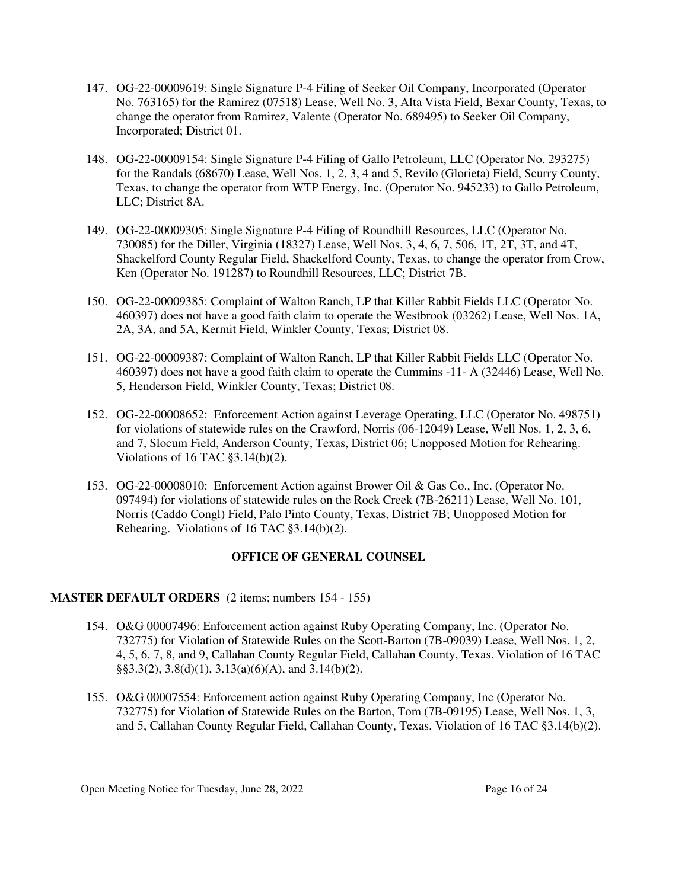- 147. OG-22-00009619: Single Signature P-4 Filing of Seeker Oil Company, Incorporated (Operator No. 763165) for the Ramirez (07518) Lease, Well No. 3, Alta Vista Field, Bexar County, Texas, to change the operator from Ramirez, Valente (Operator No. 689495) to Seeker Oil Company, Incorporated; District 01.
- 148. OG-22-00009154: Single Signature P-4 Filing of Gallo Petroleum, LLC (Operator No. 293275) for the Randals (68670) Lease, Well Nos. 1, 2, 3, 4 and 5, Revilo (Glorieta) Field, Scurry County, Texas, to change the operator from WTP Energy, Inc. (Operator No. 945233) to Gallo Petroleum, LLC; District 8A.
- 149. OG-22-00009305: Single Signature P-4 Filing of Roundhill Resources, LLC (Operator No. 730085) for the Diller, Virginia (18327) Lease, Well Nos. 3, 4, 6, 7, 506, 1T, 2T, 3T, and 4T, Shackelford County Regular Field, Shackelford County, Texas, to change the operator from Crow, Ken (Operator No. 191287) to Roundhill Resources, LLC; District 7B.
- 150. OG-22-00009385: Complaint of Walton Ranch, LP that Killer Rabbit Fields LLC (Operator No. 460397) does not have a good faith claim to operate the Westbrook (03262) Lease, Well Nos. 1A, 2A, 3A, and 5A, Kermit Field, Winkler County, Texas; District 08.
- 151. OG-22-00009387: Complaint of Walton Ranch, LP that Killer Rabbit Fields LLC (Operator No. 460397) does not have a good faith claim to operate the Cummins -11- A (32446) Lease, Well No. 5, Henderson Field, Winkler County, Texas; District 08.
- 152. OG-22-00008652: Enforcement Action against Leverage Operating, LLC (Operator No. 498751) for violations of statewide rules on the Crawford, Norris (06-12049) Lease, Well Nos. 1, 2, 3, 6, and 7, Slocum Field, Anderson County, Texas, District 06; Unopposed Motion for Rehearing. Violations of 16 TAC §3.14(b)(2).
- 153. OG-22-00008010: Enforcement Action against Brower Oil & Gas Co., Inc. (Operator No. 097494) for violations of statewide rules on the Rock Creek (7B-26211) Lease, Well No. 101, Norris (Caddo Congl) Field, Palo Pinto County, Texas, District 7B; Unopposed Motion for Rehearing. Violations of 16 TAC §3.14(b)(2).

# **OFFICE OF GENERAL COUNSEL**

#### **MASTER DEFAULT ORDERS** (2 items; numbers 154 - 155)

- 154. O&G 00007496: Enforcement action against Ruby Operating Company, Inc. (Operator No. 732775) for Violation of Statewide Rules on the Scott-Barton (7B-09039) Lease, Well Nos. 1, 2, 4, 5, 6, 7, 8, and 9, Callahan County Regular Field, Callahan County, Texas. Violation of 16 TAC  $\S$ §3.3(2), 3.8(d)(1), 3.13(a)(6)(A), and 3.14(b)(2).
- 155. O&G 00007554: Enforcement action against Ruby Operating Company, Inc (Operator No. 732775) for Violation of Statewide Rules on the Barton, Tom (7B-09195) Lease, Well Nos. 1, 3, and 5, Callahan County Regular Field, Callahan County, Texas. Violation of 16 TAC §3.14(b)(2).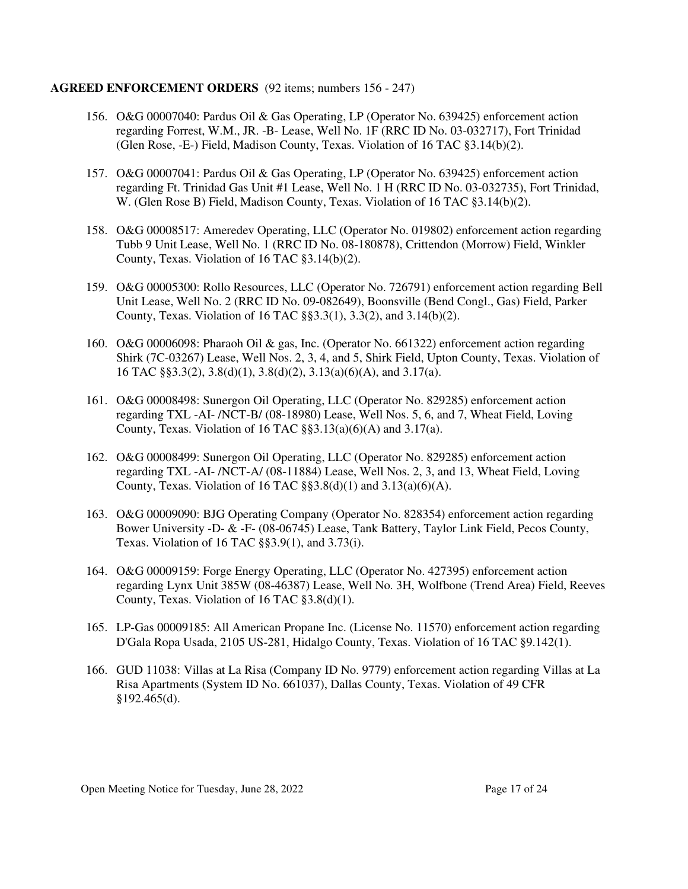#### **AGREED ENFORCEMENT ORDERS** (92 items; numbers 156 - 247)

- 156. O&G 00007040: Pardus Oil & Gas Operating, LP (Operator No. 639425) enforcement action regarding Forrest, W.M., JR. -B- Lease, Well No. 1F (RRC ID No. 03-032717), Fort Trinidad (Glen Rose, -E-) Field, Madison County, Texas. Violation of 16 TAC §3.14(b)(2).
- 157. O&G 00007041: Pardus Oil & Gas Operating, LP (Operator No. 639425) enforcement action regarding Ft. Trinidad Gas Unit #1 Lease, Well No. 1 H (RRC ID No. 03-032735), Fort Trinidad, W. (Glen Rose B) Field, Madison County, Texas. Violation of 16 TAC §3.14(b)(2).
- 158. O&G 00008517: Ameredev Operating, LLC (Operator No. 019802) enforcement action regarding Tubb 9 Unit Lease, Well No. 1 (RRC ID No. 08-180878), Crittendon (Morrow) Field, Winkler County, Texas. Violation of 16 TAC §3.14(b)(2).
- 159. O&G 00005300: Rollo Resources, LLC (Operator No. 726791) enforcement action regarding Bell Unit Lease, Well No. 2 (RRC ID No. 09-082649), Boonsville (Bend Congl., Gas) Field, Parker County, Texas. Violation of 16 TAC §§3.3(1), 3.3(2), and 3.14(b)(2).
- 160. O&G 00006098: Pharaoh Oil & gas, Inc. (Operator No. 661322) enforcement action regarding Shirk (7C-03267) Lease, Well Nos. 2, 3, 4, and 5, Shirk Field, Upton County, Texas. Violation of 16 TAC §§3.3(2), 3.8(d)(1), 3.8(d)(2), 3.13(a)(6)(A), and 3.17(a).
- 161. O&G 00008498: Sunergon Oil Operating, LLC (Operator No. 829285) enforcement action regarding TXL -AI- /NCT-B/ (08-18980) Lease, Well Nos. 5, 6, and 7, Wheat Field, Loving County, Texas. Violation of 16 TAC  $\S$ §3.13(a)(6)(A) and 3.17(a).
- 162. O&G 00008499: Sunergon Oil Operating, LLC (Operator No. 829285) enforcement action regarding TXL -AI- /NCT-A/ (08-11884) Lease, Well Nos. 2, 3, and 13, Wheat Field, Loving County, Texas. Violation of 16 TAC  $\S$ §3.8(d)(1) and 3.13(a)(6)(A).
- 163. O&G 00009090: BJG Operating Company (Operator No. 828354) enforcement action regarding Bower University -D- & -F- (08-06745) Lease, Tank Battery, Taylor Link Field, Pecos County, Texas. Violation of 16 TAC §§3.9(1), and 3.73(i).
- 164. O&G 00009159: Forge Energy Operating, LLC (Operator No. 427395) enforcement action regarding Lynx Unit 385W (08-46387) Lease, Well No. 3H, Wolfbone (Trend Area) Field, Reeves County, Texas. Violation of 16 TAC §3.8(d)(1).
- 165. LP-Gas 00009185: All American Propane Inc. (License No. 11570) enforcement action regarding D'Gala Ropa Usada, 2105 US-281, Hidalgo County, Texas. Violation of 16 TAC §9.142(1).
- 166. GUD 11038: Villas at La Risa (Company ID No. 9779) enforcement action regarding Villas at La Risa Apartments (System ID No. 661037), Dallas County, Texas. Violation of 49 CFR §192.465(d).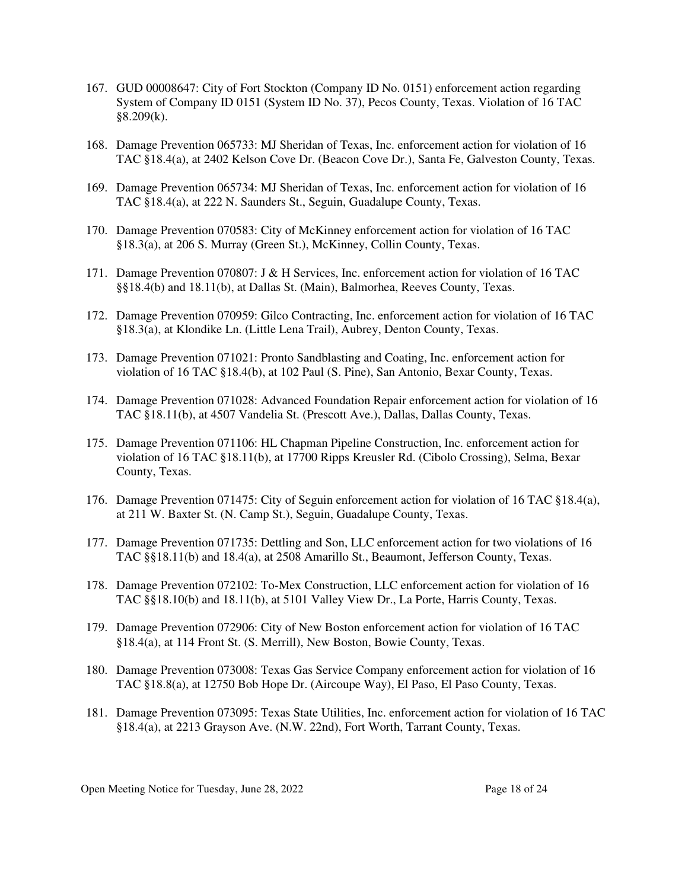- 167. GUD 00008647: City of Fort Stockton (Company ID No. 0151) enforcement action regarding System of Company ID 0151 (System ID No. 37), Pecos County, Texas. Violation of 16 TAC §8.209(k).
- 168. Damage Prevention 065733: MJ Sheridan of Texas, Inc. enforcement action for violation of 16 TAC §18.4(a), at 2402 Kelson Cove Dr. (Beacon Cove Dr.), Santa Fe, Galveston County, Texas.
- 169. Damage Prevention 065734: MJ Sheridan of Texas, Inc. enforcement action for violation of 16 TAC §18.4(a), at 222 N. Saunders St., Seguin, Guadalupe County, Texas.
- 170. Damage Prevention 070583: City of McKinney enforcement action for violation of 16 TAC §18.3(a), at 206 S. Murray (Green St.), McKinney, Collin County, Texas.
- 171. Damage Prevention 070807: J & H Services, Inc. enforcement action for violation of 16 TAC §§18.4(b) and 18.11(b), at Dallas St. (Main), Balmorhea, Reeves County, Texas.
- 172. Damage Prevention 070959: Gilco Contracting, Inc. enforcement action for violation of 16 TAC §18.3(a), at Klondike Ln. (Little Lena Trail), Aubrey, Denton County, Texas.
- 173. Damage Prevention 071021: Pronto Sandblasting and Coating, Inc. enforcement action for violation of 16 TAC §18.4(b), at 102 Paul (S. Pine), San Antonio, Bexar County, Texas.
- 174. Damage Prevention 071028: Advanced Foundation Repair enforcement action for violation of 16 TAC §18.11(b), at 4507 Vandelia St. (Prescott Ave.), Dallas, Dallas County, Texas.
- 175. Damage Prevention 071106: HL Chapman Pipeline Construction, Inc. enforcement action for violation of 16 TAC §18.11(b), at 17700 Ripps Kreusler Rd. (Cibolo Crossing), Selma, Bexar County, Texas.
- 176. Damage Prevention 071475: City of Seguin enforcement action for violation of 16 TAC §18.4(a), at 211 W. Baxter St. (N. Camp St.), Seguin, Guadalupe County, Texas.
- 177. Damage Prevention 071735: Dettling and Son, LLC enforcement action for two violations of 16 TAC §§18.11(b) and 18.4(a), at 2508 Amarillo St., Beaumont, Jefferson County, Texas.
- 178. Damage Prevention 072102: To-Mex Construction, LLC enforcement action for violation of 16 TAC §§18.10(b) and 18.11(b), at 5101 Valley View Dr., La Porte, Harris County, Texas.
- 179. Damage Prevention 072906: City of New Boston enforcement action for violation of 16 TAC §18.4(a), at 114 Front St. (S. Merrill), New Boston, Bowie County, Texas.
- 180. Damage Prevention 073008: Texas Gas Service Company enforcement action for violation of 16 TAC §18.8(a), at 12750 Bob Hope Dr. (Aircoupe Way), El Paso, El Paso County, Texas.
- 181. Damage Prevention 073095: Texas State Utilities, Inc. enforcement action for violation of 16 TAC §18.4(a), at 2213 Grayson Ave. (N.W. 22nd), Fort Worth, Tarrant County, Texas.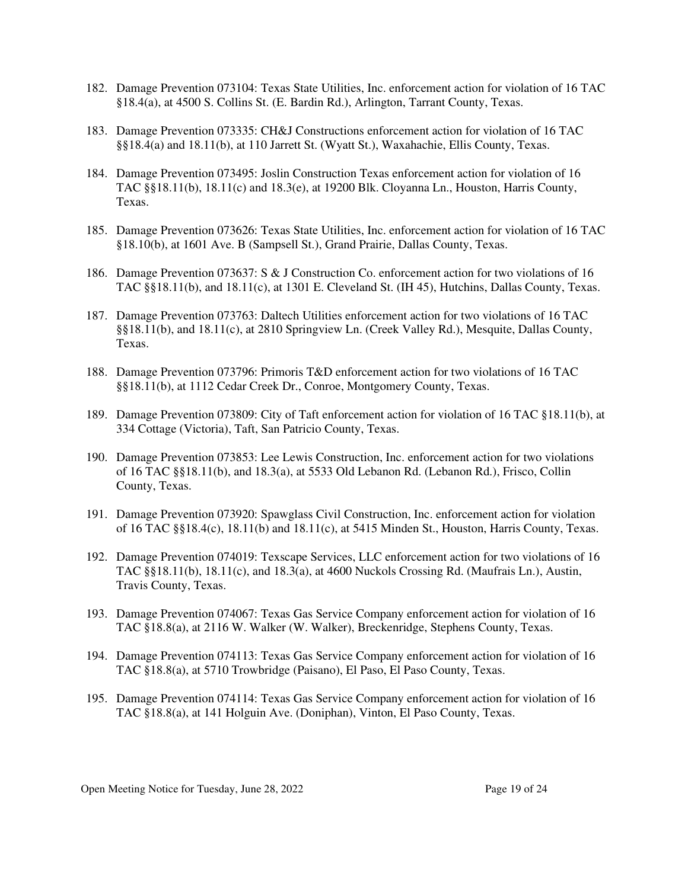- 182. Damage Prevention 073104: Texas State Utilities, Inc. enforcement action for violation of 16 TAC §18.4(a), at 4500 S. Collins St. (E. Bardin Rd.), Arlington, Tarrant County, Texas.
- 183. Damage Prevention 073335: CH&J Constructions enforcement action for violation of 16 TAC §§18.4(a) and 18.11(b), at 110 Jarrett St. (Wyatt St.), Waxahachie, Ellis County, Texas.
- 184. Damage Prevention 073495: Joslin Construction Texas enforcement action for violation of 16 TAC §§18.11(b), 18.11(c) and 18.3(e), at 19200 Blk. Cloyanna Ln., Houston, Harris County, Texas.
- 185. Damage Prevention 073626: Texas State Utilities, Inc. enforcement action for violation of 16 TAC §18.10(b), at 1601 Ave. B (Sampsell St.), Grand Prairie, Dallas County, Texas.
- 186. Damage Prevention 073637: S & J Construction Co. enforcement action for two violations of 16 TAC §§18.11(b), and 18.11(c), at 1301 E. Cleveland St. (IH 45), Hutchins, Dallas County, Texas.
- 187. Damage Prevention 073763: Daltech Utilities enforcement action for two violations of 16 TAC §§18.11(b), and 18.11(c), at 2810 Springview Ln. (Creek Valley Rd.), Mesquite, Dallas County, Texas.
- 188. Damage Prevention 073796: Primoris T&D enforcement action for two violations of 16 TAC §§18.11(b), at 1112 Cedar Creek Dr., Conroe, Montgomery County, Texas.
- 189. Damage Prevention 073809: City of Taft enforcement action for violation of 16 TAC §18.11(b), at 334 Cottage (Victoria), Taft, San Patricio County, Texas.
- 190. Damage Prevention 073853: Lee Lewis Construction, Inc. enforcement action for two violations of 16 TAC §§18.11(b), and 18.3(a), at 5533 Old Lebanon Rd. (Lebanon Rd.), Frisco, Collin County, Texas.
- 191. Damage Prevention 073920: Spawglass Civil Construction, Inc. enforcement action for violation of 16 TAC §§18.4(c), 18.11(b) and 18.11(c), at 5415 Minden St., Houston, Harris County, Texas.
- 192. Damage Prevention 074019: Texscape Services, LLC enforcement action for two violations of 16 TAC §§18.11(b), 18.11(c), and 18.3(a), at 4600 Nuckols Crossing Rd. (Maufrais Ln.), Austin, Travis County, Texas.
- 193. Damage Prevention 074067: Texas Gas Service Company enforcement action for violation of 16 TAC §18.8(a), at 2116 W. Walker (W. Walker), Breckenridge, Stephens County, Texas.
- 194. Damage Prevention 074113: Texas Gas Service Company enforcement action for violation of 16 TAC §18.8(a), at 5710 Trowbridge (Paisano), El Paso, El Paso County, Texas.
- 195. Damage Prevention 074114: Texas Gas Service Company enforcement action for violation of 16 TAC §18.8(a), at 141 Holguin Ave. (Doniphan), Vinton, El Paso County, Texas.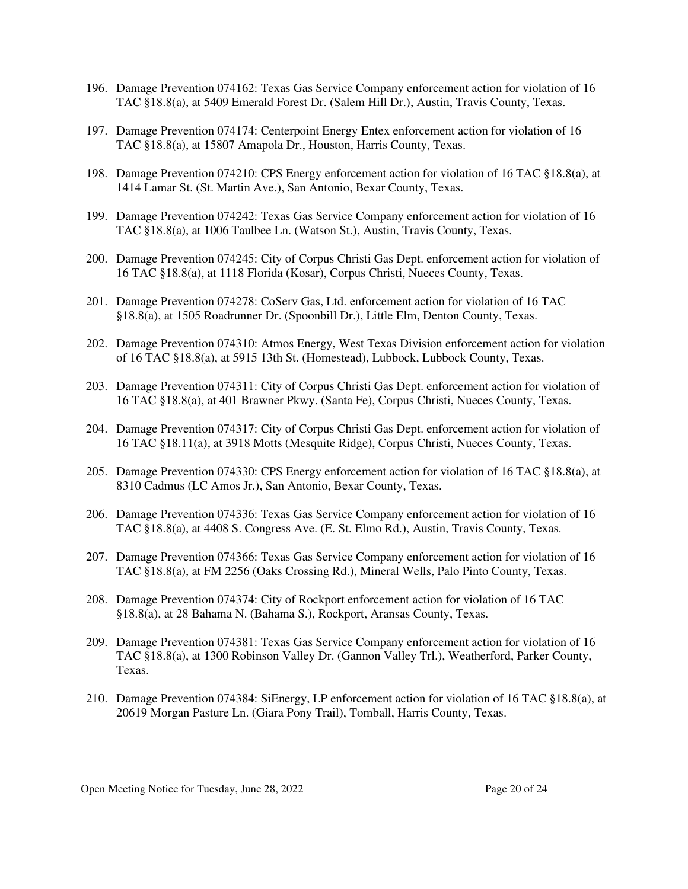- 196. Damage Prevention 074162: Texas Gas Service Company enforcement action for violation of 16 TAC §18.8(a), at 5409 Emerald Forest Dr. (Salem Hill Dr.), Austin, Travis County, Texas.
- 197. Damage Prevention 074174: Centerpoint Energy Entex enforcement action for violation of 16 TAC §18.8(a), at 15807 Amapola Dr., Houston, Harris County, Texas.
- 198. Damage Prevention 074210: CPS Energy enforcement action for violation of 16 TAC §18.8(a), at 1414 Lamar St. (St. Martin Ave.), San Antonio, Bexar County, Texas.
- 199. Damage Prevention 074242: Texas Gas Service Company enforcement action for violation of 16 TAC §18.8(a), at 1006 Taulbee Ln. (Watson St.), Austin, Travis County, Texas.
- 200. Damage Prevention 074245: City of Corpus Christi Gas Dept. enforcement action for violation of 16 TAC §18.8(a), at 1118 Florida (Kosar), Corpus Christi, Nueces County, Texas.
- 201. Damage Prevention 074278: CoServ Gas, Ltd. enforcement action for violation of 16 TAC §18.8(a), at 1505 Roadrunner Dr. (Spoonbill Dr.), Little Elm, Denton County, Texas.
- 202. Damage Prevention 074310: Atmos Energy, West Texas Division enforcement action for violation of 16 TAC §18.8(a), at 5915 13th St. (Homestead), Lubbock, Lubbock County, Texas.
- 203. Damage Prevention 074311: City of Corpus Christi Gas Dept. enforcement action for violation of 16 TAC §18.8(a), at 401 Brawner Pkwy. (Santa Fe), Corpus Christi, Nueces County, Texas.
- 204. Damage Prevention 074317: City of Corpus Christi Gas Dept. enforcement action for violation of 16 TAC §18.11(a), at 3918 Motts (Mesquite Ridge), Corpus Christi, Nueces County, Texas.
- 205. Damage Prevention 074330: CPS Energy enforcement action for violation of 16 TAC §18.8(a), at 8310 Cadmus (LC Amos Jr.), San Antonio, Bexar County, Texas.
- 206. Damage Prevention 074336: Texas Gas Service Company enforcement action for violation of 16 TAC §18.8(a), at 4408 S. Congress Ave. (E. St. Elmo Rd.), Austin, Travis County, Texas.
- 207. Damage Prevention 074366: Texas Gas Service Company enforcement action for violation of 16 TAC §18.8(a), at FM 2256 (Oaks Crossing Rd.), Mineral Wells, Palo Pinto County, Texas.
- 208. Damage Prevention 074374: City of Rockport enforcement action for violation of 16 TAC §18.8(a), at 28 Bahama N. (Bahama S.), Rockport, Aransas County, Texas.
- 209. Damage Prevention 074381: Texas Gas Service Company enforcement action for violation of 16 TAC §18.8(a), at 1300 Robinson Valley Dr. (Gannon Valley Trl.), Weatherford, Parker County, Texas.
- 210. Damage Prevention 074384: SiEnergy, LP enforcement action for violation of 16 TAC §18.8(a), at 20619 Morgan Pasture Ln. (Giara Pony Trail), Tomball, Harris County, Texas.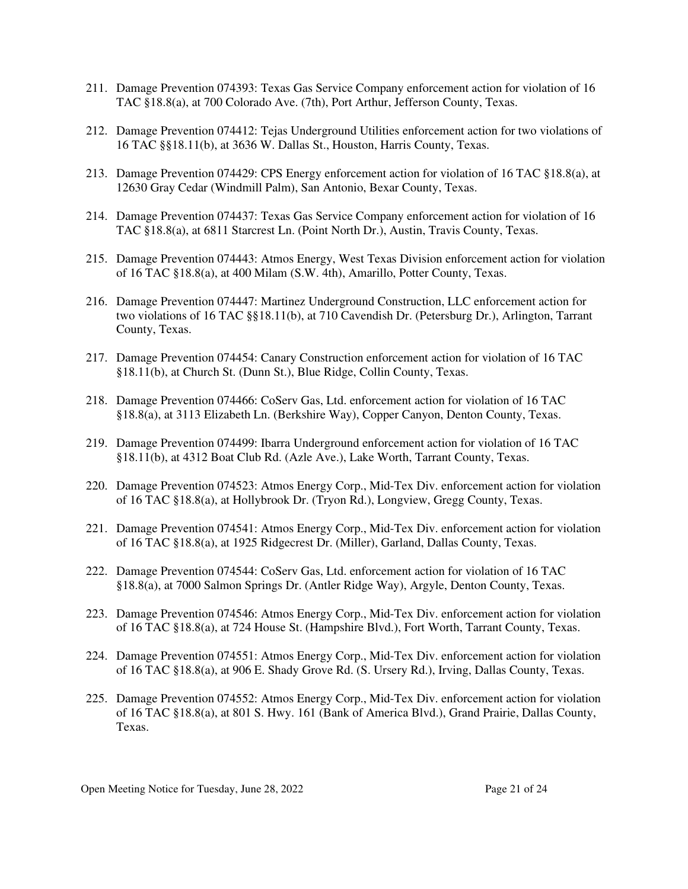- 211. Damage Prevention 074393: Texas Gas Service Company enforcement action for violation of 16 TAC §18.8(a), at 700 Colorado Ave. (7th), Port Arthur, Jefferson County, Texas.
- 212. Damage Prevention 074412: Tejas Underground Utilities enforcement action for two violations of 16 TAC §§18.11(b), at 3636 W. Dallas St., Houston, Harris County, Texas.
- 213. Damage Prevention 074429: CPS Energy enforcement action for violation of 16 TAC §18.8(a), at 12630 Gray Cedar (Windmill Palm), San Antonio, Bexar County, Texas.
- 214. Damage Prevention 074437: Texas Gas Service Company enforcement action for violation of 16 TAC §18.8(a), at 6811 Starcrest Ln. (Point North Dr.), Austin, Travis County, Texas.
- 215. Damage Prevention 074443: Atmos Energy, West Texas Division enforcement action for violation of 16 TAC §18.8(a), at 400 Milam (S.W. 4th), Amarillo, Potter County, Texas.
- 216. Damage Prevention 074447: Martinez Underground Construction, LLC enforcement action for two violations of 16 TAC §§18.11(b), at 710 Cavendish Dr. (Petersburg Dr.), Arlington, Tarrant County, Texas.
- 217. Damage Prevention 074454: Canary Construction enforcement action for violation of 16 TAC §18.11(b), at Church St. (Dunn St.), Blue Ridge, Collin County, Texas.
- 218. Damage Prevention 074466: CoServ Gas, Ltd. enforcement action for violation of 16 TAC §18.8(a), at 3113 Elizabeth Ln. (Berkshire Way), Copper Canyon, Denton County, Texas.
- 219. Damage Prevention 074499: Ibarra Underground enforcement action for violation of 16 TAC §18.11(b), at 4312 Boat Club Rd. (Azle Ave.), Lake Worth, Tarrant County, Texas.
- 220. Damage Prevention 074523: Atmos Energy Corp., Mid-Tex Div. enforcement action for violation of 16 TAC §18.8(a), at Hollybrook Dr. (Tryon Rd.), Longview, Gregg County, Texas.
- 221. Damage Prevention 074541: Atmos Energy Corp., Mid-Tex Div. enforcement action for violation of 16 TAC §18.8(a), at 1925 Ridgecrest Dr. (Miller), Garland, Dallas County, Texas.
- 222. Damage Prevention 074544: CoServ Gas, Ltd. enforcement action for violation of 16 TAC §18.8(a), at 7000 Salmon Springs Dr. (Antler Ridge Way), Argyle, Denton County, Texas.
- 223. Damage Prevention 074546: Atmos Energy Corp., Mid-Tex Div. enforcement action for violation of 16 TAC §18.8(a), at 724 House St. (Hampshire Blvd.), Fort Worth, Tarrant County, Texas.
- 224. Damage Prevention 074551: Atmos Energy Corp., Mid-Tex Div. enforcement action for violation of 16 TAC §18.8(a), at 906 E. Shady Grove Rd. (S. Ursery Rd.), Irving, Dallas County, Texas.
- 225. Damage Prevention 074552: Atmos Energy Corp., Mid-Tex Div. enforcement action for violation of 16 TAC §18.8(a), at 801 S. Hwy. 161 (Bank of America Blvd.), Grand Prairie, Dallas County, Texas.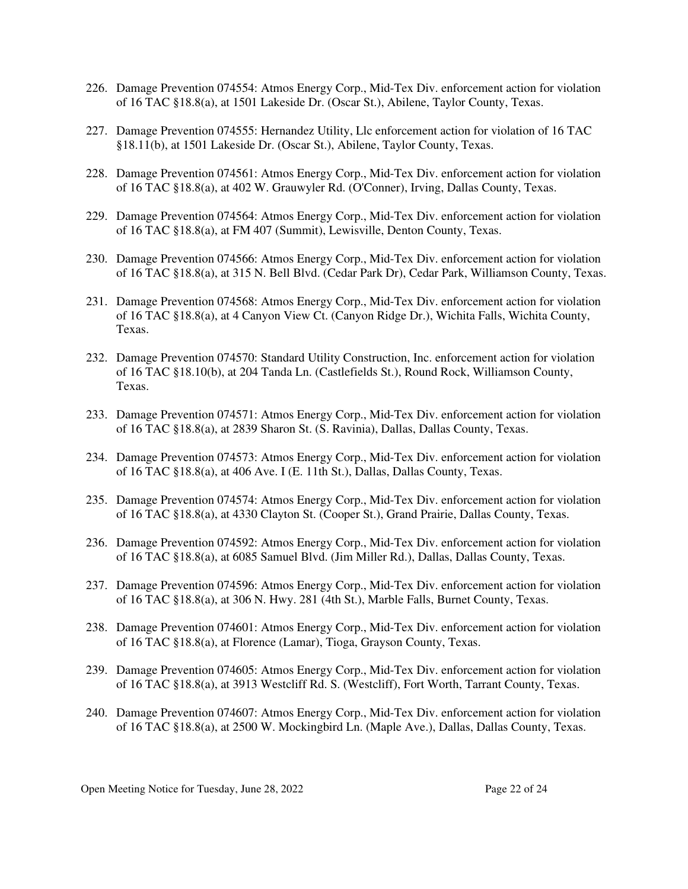- 226. Damage Prevention 074554: Atmos Energy Corp., Mid-Tex Div. enforcement action for violation of 16 TAC §18.8(a), at 1501 Lakeside Dr. (Oscar St.), Abilene, Taylor County, Texas.
- 227. Damage Prevention 074555: Hernandez Utility, Llc enforcement action for violation of 16 TAC §18.11(b), at 1501 Lakeside Dr. (Oscar St.), Abilene, Taylor County, Texas.
- 228. Damage Prevention 074561: Atmos Energy Corp., Mid-Tex Div. enforcement action for violation of 16 TAC §18.8(a), at 402 W. Grauwyler Rd. (O'Conner), Irving, Dallas County, Texas.
- 229. Damage Prevention 074564: Atmos Energy Corp., Mid-Tex Div. enforcement action for violation of 16 TAC §18.8(a), at FM 407 (Summit), Lewisville, Denton County, Texas.
- 230. Damage Prevention 074566: Atmos Energy Corp., Mid-Tex Div. enforcement action for violation of 16 TAC §18.8(a), at 315 N. Bell Blvd. (Cedar Park Dr), Cedar Park, Williamson County, Texas.
- 231. Damage Prevention 074568: Atmos Energy Corp., Mid-Tex Div. enforcement action for violation of 16 TAC §18.8(a), at 4 Canyon View Ct. (Canyon Ridge Dr.), Wichita Falls, Wichita County, Texas.
- 232. Damage Prevention 074570: Standard Utility Construction, Inc. enforcement action for violation of 16 TAC §18.10(b), at 204 Tanda Ln. (Castlefields St.), Round Rock, Williamson County, Texas.
- 233. Damage Prevention 074571: Atmos Energy Corp., Mid-Tex Div. enforcement action for violation of 16 TAC §18.8(a), at 2839 Sharon St. (S. Ravinia), Dallas, Dallas County, Texas.
- 234. Damage Prevention 074573: Atmos Energy Corp., Mid-Tex Div. enforcement action for violation of 16 TAC §18.8(a), at 406 Ave. I (E. 11th St.), Dallas, Dallas County, Texas.
- 235. Damage Prevention 074574: Atmos Energy Corp., Mid-Tex Div. enforcement action for violation of 16 TAC §18.8(a), at 4330 Clayton St. (Cooper St.), Grand Prairie, Dallas County, Texas.
- 236. Damage Prevention 074592: Atmos Energy Corp., Mid-Tex Div. enforcement action for violation of 16 TAC §18.8(a), at 6085 Samuel Blvd. (Jim Miller Rd.), Dallas, Dallas County, Texas.
- 237. Damage Prevention 074596: Atmos Energy Corp., Mid-Tex Div. enforcement action for violation of 16 TAC §18.8(a), at 306 N. Hwy. 281 (4th St.), Marble Falls, Burnet County, Texas.
- 238. Damage Prevention 074601: Atmos Energy Corp., Mid-Tex Div. enforcement action for violation of 16 TAC §18.8(a), at Florence (Lamar), Tioga, Grayson County, Texas.
- 239. Damage Prevention 074605: Atmos Energy Corp., Mid-Tex Div. enforcement action for violation of 16 TAC §18.8(a), at 3913 Westcliff Rd. S. (Westcliff), Fort Worth, Tarrant County, Texas.
- 240. Damage Prevention 074607: Atmos Energy Corp., Mid-Tex Div. enforcement action for violation of 16 TAC §18.8(a), at 2500 W. Mockingbird Ln. (Maple Ave.), Dallas, Dallas County, Texas.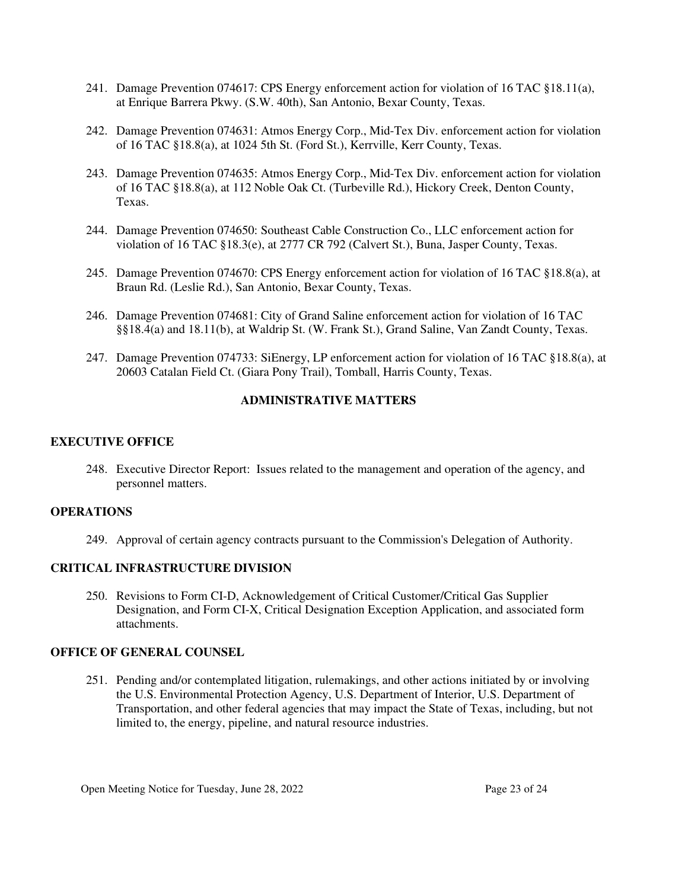- 241. Damage Prevention 074617: CPS Energy enforcement action for violation of 16 TAC §18.11(a), at Enrique Barrera Pkwy. (S.W. 40th), San Antonio, Bexar County, Texas.
- 242. Damage Prevention 074631: Atmos Energy Corp., Mid-Tex Div. enforcement action for violation of 16 TAC §18.8(a), at 1024 5th St. (Ford St.), Kerrville, Kerr County, Texas.
- 243. Damage Prevention 074635: Atmos Energy Corp., Mid-Tex Div. enforcement action for violation of 16 TAC §18.8(a), at 112 Noble Oak Ct. (Turbeville Rd.), Hickory Creek, Denton County, Texas.
- 244. Damage Prevention 074650: Southeast Cable Construction Co., LLC enforcement action for violation of 16 TAC §18.3(e), at 2777 CR 792 (Calvert St.), Buna, Jasper County, Texas.
- 245. Damage Prevention 074670: CPS Energy enforcement action for violation of 16 TAC §18.8(a), at Braun Rd. (Leslie Rd.), San Antonio, Bexar County, Texas.
- 246. Damage Prevention 074681: City of Grand Saline enforcement action for violation of 16 TAC §§18.4(a) and 18.11(b), at Waldrip St. (W. Frank St.), Grand Saline, Van Zandt County, Texas.
- 247. Damage Prevention 074733: SiEnergy, LP enforcement action for violation of 16 TAC §18.8(a), at 20603 Catalan Field Ct. (Giara Pony Trail), Tomball, Harris County, Texas.

### **ADMINISTRATIVE MATTERS**

### **EXECUTIVE OFFICE**

248. Executive Director Report: Issues related to the management and operation of the agency, and personnel matters.

#### **OPERATIONS**

249. Approval of certain agency contracts pursuant to the Commission's Delegation of Authority.

#### **CRITICAL INFRASTRUCTURE DIVISION**

250. Revisions to Form CI-D, Acknowledgement of Critical Customer/Critical Gas Supplier Designation, and Form CI-X, Critical Designation Exception Application, and associated form attachments.

#### **OFFICE OF GENERAL COUNSEL**

251. Pending and/or contemplated litigation, rulemakings, and other actions initiated by or involving the U.S. Environmental Protection Agency, U.S. Department of Interior, U.S. Department of Transportation, and other federal agencies that may impact the State of Texas, including, but not limited to, the energy, pipeline, and natural resource industries.